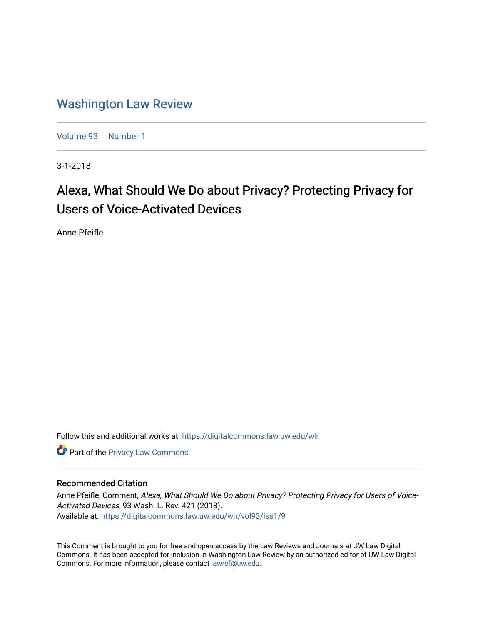# [Washington Law Review](https://digitalcommons.law.uw.edu/wlr)

[Volume 93](https://digitalcommons.law.uw.edu/wlr/vol93) | [Number 1](https://digitalcommons.law.uw.edu/wlr/vol93/iss1)

3-1-2018

# Alexa, What Should We Do about Privacy? Protecting Privacy for Users of Voice-Activated Devices

Anne Pfeifle

Follow this and additional works at: [https://digitalcommons.law.uw.edu/wlr](https://digitalcommons.law.uw.edu/wlr?utm_source=digitalcommons.law.uw.edu%2Fwlr%2Fvol93%2Fiss1%2F9&utm_medium=PDF&utm_campaign=PDFCoverPages)

**Part of the Privacy Law Commons** 

## Recommended Citation

Anne Pfeifle, Comment, Alexa, What Should We Do about Privacy? Protecting Privacy for Users of Voice-Activated Devices, 93 Wash. L. Rev. 421 (2018). Available at: [https://digitalcommons.law.uw.edu/wlr/vol93/iss1/9](https://digitalcommons.law.uw.edu/wlr/vol93/iss1/9?utm_source=digitalcommons.law.uw.edu%2Fwlr%2Fvol93%2Fiss1%2F9&utm_medium=PDF&utm_campaign=PDFCoverPages)

This Comment is brought to you for free and open access by the Law Reviews and Journals at UW Law Digital Commons. It has been accepted for inclusion in Washington Law Review by an authorized editor of UW Law Digital Commons. For more information, please contact [lawref@uw.edu](mailto:lawref@uw.edu).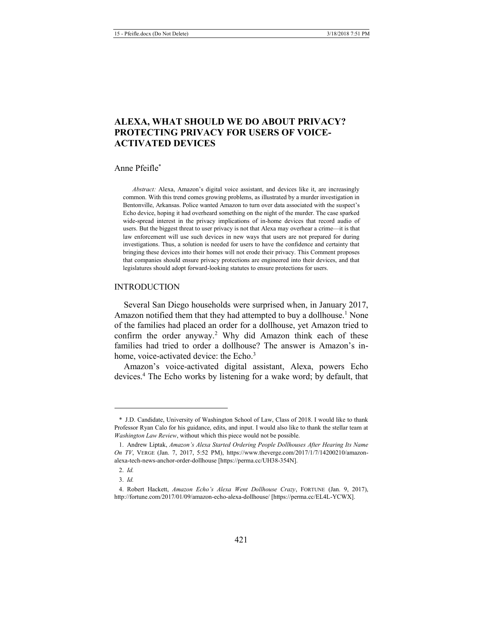# **ALEXA, WHAT SHOULD WE DO ABOUT PRIVACY? PROTECTING PRIVACY FOR USERS OF VOICE-ACTIVATED DEVICES**

#### Anne Pfeifle\*

*Abstract:* Alexa, Amazon's digital voice assistant, and devices like it, are increasingly common. With this trend comes growing problems, as illustrated by a murder investigation in Bentonville, Arkansas. Police wanted Amazon to turn over data associated with the suspect's Echo device, hoping it had overheard something on the night of the murder. The case sparked wide-spread interest in the privacy implications of in-home devices that record audio of users. But the biggest threat to user privacy is not that Alexa may overhear a crime—it is that law enforcement will use such devices in new ways that users are not prepared for during investigations. Thus, a solution is needed for users to have the confidence and certainty that bringing these devices into their homes will not erode their privacy. This Comment proposes that companies should ensure privacy protections are engineered into their devices, and that legislatures should adopt forward-looking statutes to ensure protections for users.

#### INTRODUCTION

<span id="page-1-0"></span>Several San Diego households were surprised when, in January 2017, Amazon notified them that they had attempted to buy a dollhouse.<sup>1</sup> None of the families had placed an order for a dollhouse, yet Amazon tried to confirm the order anyway.<sup>2</sup> Why did Amazon think each of these families had tried to order a dollhouse? The answer is Amazon's inhome, voice-activated device: the Echo.<sup>3</sup>

<span id="page-1-1"></span>Amazon's voice-activated digital assistant, Alexa, powers Echo devices.4 The Echo works by listening for a wake word; by default, that

<sup>\*</sup> J.D. Candidate, University of Washington School of Law, Class of 2018. I would like to thank Professor Ryan Calo for his guidance, edits, and input. I would also like to thank the stellar team at *Washington Law Review*, without which this piece would not be possible.

<sup>1.</sup> Andrew Liptak, *Amazon's Alexa Started Ordering People Dollhouses After Hearing Its Name On TV*, VERGE (Jan. 7, 2017, 5:52 PM), https://www.theverge.com/2017/1/7/14200210/amazonalexa-tech-news-anchor-order-dollhouse [https://perma.cc/UH38-354N].

<sup>2.</sup> *Id.* 

<sup>3.</sup> *Id.* 

<sup>4.</sup> Robert Hackett, *Amazon Echo's Alexa Went Dollhouse Crazy*, FORTUNE (Jan. 9, 2017), http://fortune.com/2017/01/09/amazon-echo-alexa-dollhouse/ [https://perma.cc/EL4L-YCWX].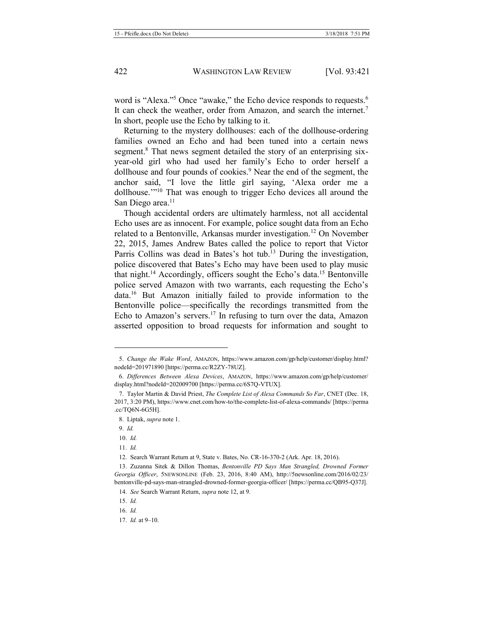<span id="page-2-1"></span>word is "Alexa."<sup>5</sup> Once "awake," the Echo device responds to requests.<sup>6</sup> It can check the weather, order from Amazon, and search the internet.<sup>7</sup> In short, people use the Echo by talking to it.

Returning to the mystery dollhouses: each of the dollhouse-ordering families owned an Echo and had been tuned into a certain news segment.<sup>8</sup> That news segment detailed the story of an enterprising sixyear-old girl who had used her family's Echo to order herself a dollhouse and four pounds of cookies.<sup>9</sup> Near the end of the segment, the anchor said, "I love the little girl saying, 'Alexa order me a dollhouse.'"<sup>10</sup> That was enough to trigger Echo devices all around the San Diego area.<sup>11</sup>

<span id="page-2-2"></span><span id="page-2-0"></span>Though accidental orders are ultimately harmless, not all accidental Echo uses are as innocent. For example, police sought data from an Echo related to a Bentonville, Arkansas murder investigation.<sup>12</sup> On November 22, 2015, James Andrew Bates called the police to report that Victor Parris Collins was dead in Bates's hot tub.<sup>13</sup> During the investigation, police discovered that Bates's Echo may have been used to play music that night.<sup>14</sup> Accordingly, officers sought the Echo's data.<sup>15</sup> Bentonville police served Amazon with two warrants, each requesting the Echo's data.16 But Amazon initially failed to provide information to the Bentonville police—specifically the recordings transmitted from the Echo to Amazon's servers.<sup>17</sup> In refusing to turn over the data, Amazon asserted opposition to broad requests for information and sought to

<u>.</u>

10. *Id.* 

<sup>5.</sup> *Change the Wake Word*, AMAZON, https://www.amazon.com/gp/help/customer/display.html? nodeId=201971890 [https://perma.cc/R2ZY-78UZ].

<sup>6.</sup> *Differences Between Alexa Devices*, AMAZON, https://www.amazon.com/gp/help/customer/ display.html?nodeId=202009700 [https://perma.cc/6S7Q-VTUX].

<sup>7.</sup> Taylor Martin & David Priest, *The Complete List of Alexa Commands So Far*, CNET (Dec. 18, 2017, 3:20 PM), https://www.cnet.com/how-to/the-complete-list-of-alexa-commands/ [https://perma .cc/TQ6N-6G5H].

<sup>8.</sup> Liptak, *supra* not[e 1.](#page-1-0)

<sup>9.</sup> *Id.* 

<sup>11.</sup> *Id.*

<sup>12.</sup> Search Warrant Return at 9, State v. Bates, No. CR-16-370-2 (Ark. Apr. 18, 2016).

<sup>13.</sup> Zuzanna Sitek & Dillon Thomas, *Bentonville PD Says Man Strangled, Drowned Former Georgia Officer*, 5NEWSONLINE (Feb. 23, 2016, 8:40 AM), http://5newsonline.com/2016/02/23/ bentonville-pd-says-man-strangled-drowned-former-georgia-officer/ [https://perma.cc/QB95-Q37J].

<sup>14.</sup> *See* Search Warrant Return, *supra* not[e 12,](#page-2-0) at 9.

<sup>15.</sup> *Id.*

<sup>16.</sup> *Id.*

<sup>17.</sup> *Id.* at 9–10.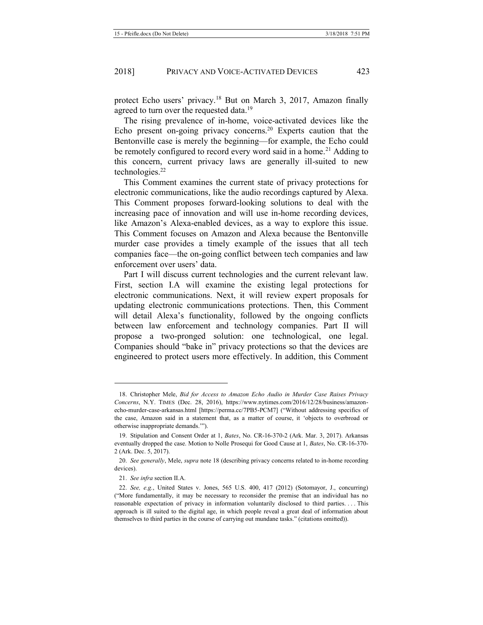<span id="page-3-0"></span>protect Echo users' privacy.<sup>18</sup> But on March 3, 2017, Amazon finally agreed to turn over the requested data.<sup>19</sup>

<span id="page-3-1"></span>The rising prevalence of in-home, voice-activated devices like the Echo present on-going privacy concerns.20 Experts caution that the Bentonville case is merely the beginning—for example, the Echo could be remotely configured to record every word said in a home.<sup>21</sup> Adding to this concern, current privacy laws are generally ill-suited to new technologies.<sup>22</sup>

This Comment examines the current state of privacy protections for electronic communications, like the audio recordings captured by Alexa. This Comment proposes forward-looking solutions to deal with the increasing pace of innovation and will use in-home recording devices, like Amazon's Alexa-enabled devices, as a way to explore this issue. This Comment focuses on Amazon and Alexa because the Bentonville murder case provides a timely example of the issues that all tech companies face—the on-going conflict between tech companies and law enforcement over users' data.

Part I will discuss current technologies and the current relevant law. First, section I.A will examine the existing legal protections for electronic communications. Next, it will review expert proposals for updating electronic communications protections. Then, this Comment will detail Alexa's functionality, followed by the ongoing conflicts between law enforcement and technology companies. Part II will propose a two-pronged solution: one technological, one legal. Companies should "bake in" privacy protections so that the devices are engineered to protect users more effectively. In addition, this Comment

<sup>18.</sup> Christopher Mele, *Bid for Access to Amazon Echo Audio in Murder Case Raises Privacy Concerns*, N.Y. TIMES (Dec. 28, 2016), https://www.nytimes.com/2016/12/28/business/amazonecho-murder-case-arkansas.html [https://perma.cc/7PB5-PCM7] ("Without addressing specifics of the case, Amazon said in a statement that, as a matter of course, it 'objects to overbroad or otherwise inappropriate demands.'").

<sup>19.</sup> Stipulation and Consent Order at 1, *Bates*, No. CR-16-370-2 (Ark. Mar. 3, 2017). Arkansas eventually dropped the case. Motion to Nolle Prosequi for Good Cause at 1, *Bates*, No. CR-16-370- 2 (Ark. Dec. 5, 2017).

<sup>20.</sup> *See generally*, Mele, *supra* not[e 18](#page-3-0) (describing privacy concerns related to in-home recording devices).

<sup>21.</sup> *See infra* section II.A.

<sup>22.</sup> *See, e.g.*, United States v. Jones, 565 U.S. 400, 417 (2012) (Sotomayor, J., concurring) ("More fundamentally, it may be necessary to reconsider the premise that an individual has no reasonable expectation of privacy in information voluntarily disclosed to third parties. . . . This approach is ill suited to the digital age, in which people reveal a great deal of information about themselves to third parties in the course of carrying out mundane tasks." (citations omitted)).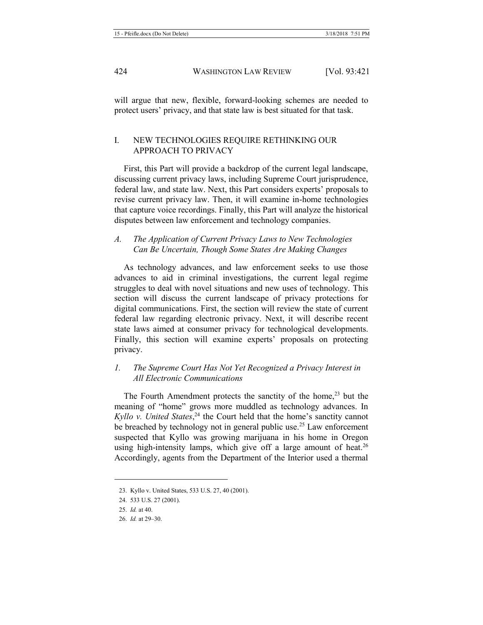will argue that new, flexible, forward-looking schemes are needed to protect users' privacy, and that state law is best situated for that task.

#### I. NEW TECHNOLOGIES REQUIRE RETHINKING OUR APPROACH TO PRIVACY

First, this Part will provide a backdrop of the current legal landscape, discussing current privacy laws, including Supreme Court jurisprudence, federal law, and state law. Next, this Part considers experts' proposals to revise current privacy law. Then, it will examine in-home technologies that capture voice recordings. Finally, this Part will analyze the historical disputes between law enforcement and technology companies.

*A. The Application of Current Privacy Laws to New Technologies Can Be Uncertain, Though Some States Are Making Changes*

As technology advances, and law enforcement seeks to use those advances to aid in criminal investigations, the current legal regime struggles to deal with novel situations and new uses of technology. This section will discuss the current landscape of privacy protections for digital communications. First, the section will review the state of current federal law regarding electronic privacy. Next, it will describe recent state laws aimed at consumer privacy for technological developments. Finally, this section will examine experts' proposals on protecting privacy.

## *1. The Supreme Court Has Not Yet Recognized a Privacy Interest in All Electronic Communications*

The Fourth Amendment protects the sanctity of the home,<sup>23</sup> but the meaning of "home" grows more muddled as technology advances. In *Kyllo v. United States*, <sup>24</sup> the Court held that the home's sanctity cannot be breached by technology not in general public use.<sup>25</sup> Law enforcement suspected that Kyllo was growing marijuana in his home in Oregon using high-intensity lamps, which give off a large amount of heat.<sup>26</sup> Accordingly, agents from the Department of the Interior used a thermal

1

<sup>23.</sup> Kyllo v. United States, 533 U.S. 27, 40 (2001).

<sup>24.</sup> 533 U.S. 27 (2001).

<sup>25.</sup> *Id.* at 40.

<sup>26.</sup> *Id.* at 29–30.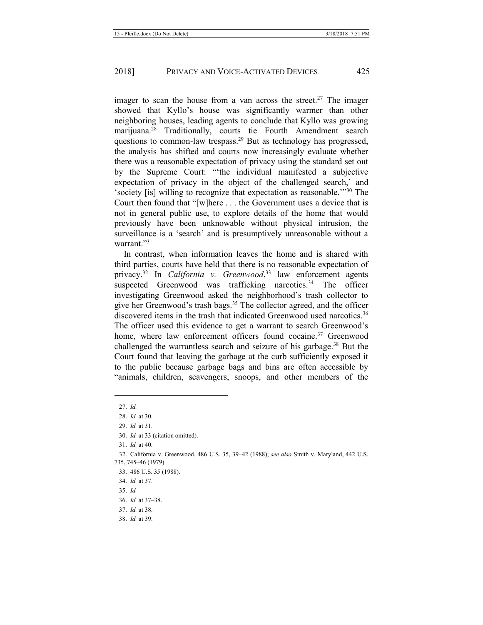imager to scan the house from a van across the street.<sup>27</sup> The imager showed that Kyllo's house was significantly warmer than other neighboring houses, leading agents to conclude that Kyllo was growing marijuana.<sup>28</sup> Traditionally, courts tie Fourth Amendment search questions to common-law trespass.29 But as technology has progressed, the analysis has shifted and courts now increasingly evaluate whether there was a reasonable expectation of privacy using the standard set out by the Supreme Court: "'the individual manifested a subjective expectation of privacy in the object of the challenged search,' and 'society [is] willing to recognize that expectation as reasonable.'"<sup>30</sup> The Court then found that "[w]here . . . the Government uses a device that is not in general public use, to explore details of the home that would previously have been unknowable without physical intrusion, the surveillance is a 'search' and is presumptively unreasonable without a warrant."<sup>31</sup>

In contrast, when information leaves the home and is shared with third parties, courts have held that there is no reasonable expectation of privacy.32 In *California v. Greenwood*, <sup>33</sup> law enforcement agents suspected Greenwood was trafficking narcotics.<sup>34</sup> The officer investigating Greenwood asked the neighborhood's trash collector to give her Greenwood's trash bags.<sup>35</sup> The collector agreed, and the officer discovered items in the trash that indicated Greenwood used narcotics.<sup>36</sup> The officer used this evidence to get a warrant to search Greenwood's home, where law enforcement officers found cocaine.<sup>37</sup> Greenwood challenged the warrantless search and seizure of his garbage.<sup>38</sup> But the Court found that leaving the garbage at the curb sufficiently exposed it to the public because garbage bags and bins are often accessible by "animals, children, scavengers, snoops, and other members of the

1

<sup>27.</sup> *Id.*

<sup>28.</sup> *Id.* at 30.

<sup>29.</sup> *Id.* at 31.

<sup>30.</sup> *Id.* at 33 (citation omitted).

<sup>31.</sup> *Id.* at 40.

<sup>32.</sup> California v. Greenwood, 486 U.S. 35, 39–42 (1988); *see also* Smith v. Maryland, 442 U.S. 735, 745–46 (1979).

<sup>33.</sup> 486 U.S. 35 (1988).

<sup>34.</sup> *Id.* at 37.

<sup>35.</sup> *Id.*

<sup>36.</sup> *Id.* at 37–38.

<sup>37.</sup> *Id.* at 38.

<sup>38.</sup> *Id.* at 39.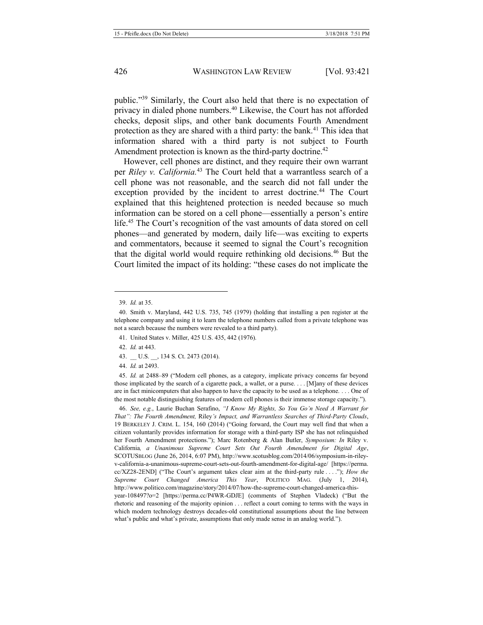public."<sup>39</sup> Similarly, the Court also held that there is no expectation of privacy in dialed phone numbers.40 Likewise, the Court has not afforded checks, deposit slips, and other bank documents Fourth Amendment protection as they are shared with a third party: the bank.<sup>41</sup> This idea that information shared with a third party is not subject to Fourth Amendment protection is known as the third-party doctrine.<sup>42</sup>

However, cell phones are distinct, and they require their own warrant per *Riley v. California.*<sup>43</sup> The Court held that a warrantless search of a cell phone was not reasonable, and the search did not fall under the exception provided by the incident to arrest doctrine.<sup>44</sup> The Court explained that this heightened protection is needed because so much information can be stored on a cell phone—essentially a person's entire life.<sup>45</sup> The Court's recognition of the vast amounts of data stored on cell phones—and generated by modern, daily life—was exciting to experts and commentators, because it seemed to signal the Court's recognition that the digital world would require rethinking old decisions.46 But the Court limited the impact of its holding: "these cases do not implicate the

-

46. *See, e.g.*, Laurie Buchan Serafino, *"I Know My Rights, So You Go'n Need A Warrant for That": The Fourth Amendment,* Riley*'s Impact, and Warrantless Searches of Third-Party Clouds*, 19 BERKELEY J. CRIM. L. 154, 160 (2014) ("Going forward, the Court may well find that when a citizen voluntarily provides information for storage with a third-party ISP she has not relinquished her Fourth Amendment protections."); Marc Rotenberg & Alan Butler, *Symposium: In* Riley v. California*, a Unanimous Supreme Court Sets Out Fourth Amendment for Digital Age*, SCOTUSBLOG (June 26, 2014, 6:07 PM), http://www.scotusblog.com/2014/06/symposium-in-rileyv-california-a-unanimous-supreme-court-sets-out-fourth-amendment-for-digital-age/ [https://perma. cc/XZ28-2END] ("The Court's argument takes clear aim at the third-party rule . . . ."); *How the Supreme Court Changed America This Year*, POLITICO MAG. (July 1, 2014), http://www.politico.com/magazine/story/2014/07/how-the-supreme-court-changed-america-thisyear-108497?o=2 [https://perma.cc/P4WR-GDJE] (comments of Stephen Vladeck) ("But the rhetoric and reasoning of the majority opinion . . . reflect a court coming to terms with the ways in which modern technology destroys decades-old constitutional assumptions about the line between what's public and what's private, assumptions that only made sense in an analog world.").

<sup>39.</sup> *Id.* at 35.

<sup>40.</sup> Smith v. Maryland, 442 U.S. 735, 745 (1979) (holding that installing a pen register at the telephone company and using it to learn the telephone numbers called from a private telephone was not a search because the numbers were revealed to a third party).

<sup>41.</sup> United States v. Miller, 425 U.S. 435, 442 (1976).

<sup>42.</sup> *Id.* at 443.

<sup>43.</sup> \_\_ U.S. \_\_, 134 S. Ct. 2473 (2014).

<sup>44.</sup> *Id.* at 2493.

<sup>45.</sup> *Id.* at 2488–89 ("Modern cell phones, as a category, implicate privacy concerns far beyond those implicated by the search of a cigarette pack, a wallet, or a purse. . . . [M]any of these devices are in fact minicomputers that also happen to have the capacity to be used as a telephone. . . . One of the most notable distinguishing features of modern cell phones is their immense storage capacity.").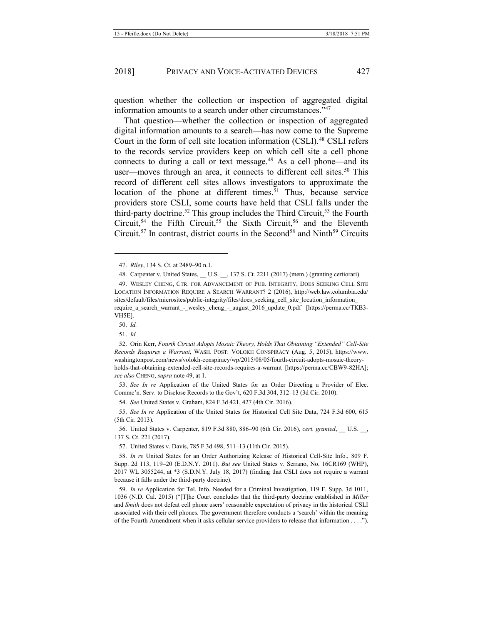question whether the collection or inspection of aggregated digital information amounts to a search under other circumstances."<sup>47</sup>

<span id="page-7-0"></span>That question—whether the collection or inspection of aggregated digital information amounts to a search—has now come to the Supreme Court in the form of cell site location information (CSLI).<sup>48</sup> CSLI refers to the records service providers keep on which cell site a cell phone connects to during a call or text message.<sup>49</sup> As a cell phone—and its user—moves through an area, it connects to different cell sites.<sup>50</sup> This record of different cell sites allows investigators to approximate the location of the phone at different times.<sup>51</sup> Thus, because service providers store CSLI, some courts have held that CSLI falls under the third-party doctrine.<sup>52</sup> This group includes the Third Circuit,<sup>53</sup> the Fourth Circuit,<sup>54</sup> the Fifth Circuit,<sup>55</sup> the Sixth Circuit,<sup>56</sup> and the Eleventh Circuit.<sup>57</sup> In contrast, district courts in the Second<sup>58</sup> and Ninth<sup>59</sup> Circuits

50. *Id.*

-

53. *See In re* Application of the United States for an Order Directing a Provider of Elec. Commc'n. Serv. to Disclose Records to the Gov't, 620 F.3d 304, 312–13 (3d Cir. 2010).

54. *See* United States v. Graham, 824 F.3d 421, 427 (4th Cir. 2016).

55. *See In re* Application of the United States for Historical Cell Site Data, 724 F.3d 600, 615 (5th Cir. 2013).

56. United States v. Carpenter, 819 F.3d 880, 886–90 (6th Cir. 2016), *cert. granted*, \_\_ U.S. \_\_, 137 S. Ct. 221 (2017).

57. United States v. Davis, 785 F.3d 498, 511–13 (11th Cir. 2015).

58. *In re* United States for an Order Authorizing Release of Historical Cell-Site Info., 809 F. Supp. 2d 113, 119–20 (E.D.N.Y. 2011). *But see* United States v. Serrano, No. 16CR169 (WHP), 2017 WL 3055244, at \*3 (S.D.N.Y. July 18, 2017) (finding that CSLI does not require a warrant because it falls under the third-party doctrine).

59. *In re* Application for Tel. Info. Needed for a Criminal Investigation, 119 F. Supp. 3d 1011, 1036 (N.D. Cal. 2015) ("[T]he Court concludes that the third-party doctrine established in *Miller* and *Smith* does not defeat cell phone users' reasonable expectation of privacy in the historical CSLI associated with their cell phones. The government therefore conducts a 'search' within the meaning of the Fourth Amendment when it asks cellular service providers to release that information . . . .").

<sup>47.</sup> *Riley*, 134 S. Ct. at 2489–90 n.1.

<sup>48.</sup> Carpenter v. United States, U.S. , 137 S. Ct. 2211 (2017) (mem.) (granting certiorari).

<sup>49.</sup> WESLEY CHENG, CTR. FOR ADVANCEMENT OF PUB. INTEGRITY, DOES SEEKING CELL SITE LOCATION INFORMATION REQUIRE A SEARCH WARRANT? 2 (2016), http://web.law.columbia.edu/ sites/default/files/microsites/public-integrity/files/does\_seeking\_cell\_site\_location\_information require a search warrant - wesley cheng - august 2016 update 0.pdf [https://perma.cc/TKB3-VH5E].

<sup>51.</sup> *Id.*

<sup>52.</sup> Orin Kerr, *Fourth Circuit Adopts Mosaic Theory, Holds That Obtaining "Extended" Cell-Site Records Requires a Warrant*, WASH. POST: VOLOKH CONSPIRACY (Aug. 5, 2015), https://www. washingtonpost.com/news/volokh-conspiracy/wp/2015/08/05/fourth-circuit-adopts-mosaic-theoryholds-that-obtaining-extended-cell-site-records-requires-a-warrant [https://perma.cc/CBW9-82HA]; *see also* CHENG, *supra* not[e 49,](#page-7-0) at 1.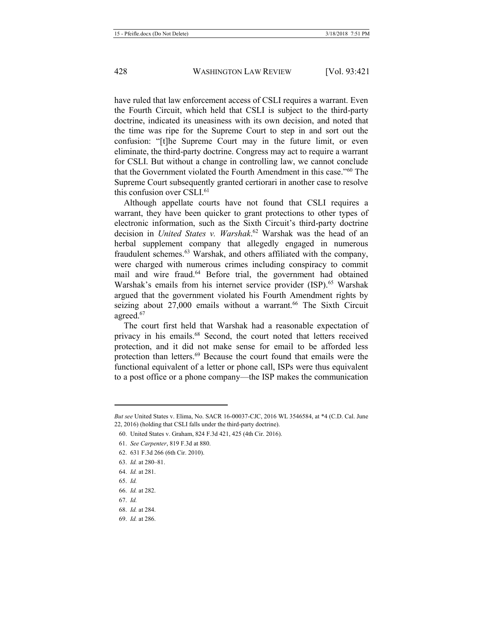have ruled that law enforcement access of CSLI requires a warrant. Even the Fourth Circuit, which held that CSLI is subject to the third-party doctrine, indicated its uneasiness with its own decision, and noted that the time was ripe for the Supreme Court to step in and sort out the confusion: "[t]he Supreme Court may in the future limit, or even eliminate, the third-party doctrine. Congress may act to require a warrant for CSLI. But without a change in controlling law, we cannot conclude that the Government violated the Fourth Amendment in this case."<sup>60</sup> The Supreme Court subsequently granted certiorari in another case to resolve this confusion over CSLI.<sup>61</sup>

Although appellate courts have not found that CSLI requires a warrant, they have been quicker to grant protections to other types of electronic information, such as the Sixth Circuit's third-party doctrine decision in *United States v. Warshak*. <sup>62</sup> Warshak was the head of an herbal supplement company that allegedly engaged in numerous fraudulent schemes.<sup>63</sup> Warshak, and others affiliated with the company, were charged with numerous crimes including conspiracy to commit mail and wire fraud.<sup>64</sup> Before trial, the government had obtained Warshak's emails from his internet service provider (ISP).<sup>65</sup> Warshak argued that the government violated his Fourth Amendment rights by seizing about 27,000 emails without a warrant.<sup>66</sup> The Sixth Circuit agreed.<sup>67</sup>

The court first held that Warshak had a reasonable expectation of privacy in his emails.68 Second, the court noted that letters received protection, and it did not make sense for email to be afforded less protection than letters.<sup>69</sup> Because the court found that emails were the functional equivalent of a letter or phone call, ISPs were thus equivalent to a post office or a phone company—the ISP makes the communication

65. *Id.* 

1

67. *Id.* 

69. *Id.* at 286.

*But see* United States v. Elima, No. SACR 16-00037-CJC, 2016 WL 3546584, at \*4 (C.D. Cal. June 22, 2016) (holding that CSLI falls under the third-party doctrine).

<sup>60.</sup> United States v. Graham, 824 F.3d 421, 425 (4th Cir. 2016).

<sup>61.</sup> *See Carpenter*, 819 F.3d at 880.

<sup>62.</sup> 631 F.3d 266 (6th Cir. 2010).

<sup>63.</sup> *Id.* at 280–81.

<sup>64.</sup> *Id.* at 281.

<sup>66.</sup> *Id.* at 282.

<sup>68.</sup> *Id.* at 284.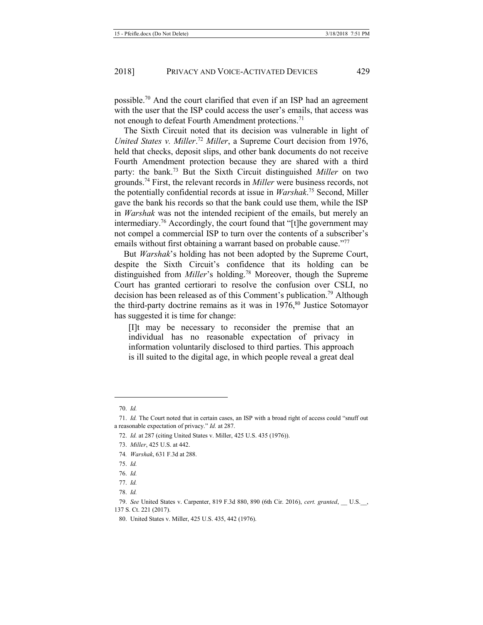possible.70 And the court clarified that even if an ISP had an agreement with the user that the ISP could access the user's emails, that access was not enough to defeat Fourth Amendment protections.<sup>71</sup>

The Sixth Circuit noted that its decision was vulnerable in light of *United States v. Miller*. <sup>72</sup> *Miller*, a Supreme Court decision from 1976, held that checks, deposit slips, and other bank documents do not receive Fourth Amendment protection because they are shared with a third party: the bank.73 But the Sixth Circuit distinguished *Miller* on two grounds.74 First, the relevant records in *Miller* were business records, not the potentially confidential records at issue in *Warshak*. <sup>75</sup> Second, Miller gave the bank his records so that the bank could use them, while the ISP in *Warshak* was not the intended recipient of the emails, but merely an intermediary.<sup>76</sup> Accordingly, the court found that "[t]he government may not compel a commercial ISP to turn over the contents of a subscriber's emails without first obtaining a warrant based on probable cause."<sup>77</sup>

But *Warshak*'s holding has not been adopted by the Supreme Court, despite the Sixth Circuit's confidence that its holding can be distinguished from *Miller*'s holding.<sup>78</sup> Moreover, though the Supreme Court has granted certiorari to resolve the confusion over CSLI, no decision has been released as of this Comment's publication. <sup>79</sup> Although the third-party doctrine remains as it was in  $1976$ ,  $80$  Justice Sotomayor has suggested it is time for change:

[I]t may be necessary to reconsider the premise that an individual has no reasonable expectation of privacy in information voluntarily disclosed to third parties. This approach is ill suited to the digital age, in which people reveal a great deal

<sup>70.</sup> *Id.* 

<sup>71.</sup> *Id.* The Court noted that in certain cases, an ISP with a broad right of access could "snuff out a reasonable expectation of privacy." *Id.* at 287.

<sup>72.</sup> *Id.* at 287 (citing United States v. Miller, 425 U.S. 435 (1976)).

<sup>73.</sup> *Miller*, 425 U.S. at 442.

<sup>74</sup>*. Warshak*, 631 F.3d at 288.

<sup>75.</sup> *Id.* 

<sup>76.</sup> *Id.* 

<sup>77.</sup> *Id.* 

<sup>78.</sup> *Id.* 

<sup>79.</sup> *See* United States v. Carpenter, 819 F.3d 880, 890 (6th Cir. 2016), *cert. granted*, \_\_ U.S.\_\_, 137 S. Ct. 221 (2017).

<sup>80.</sup> United States v. Miller, 425 U.S. 435, 442 (1976).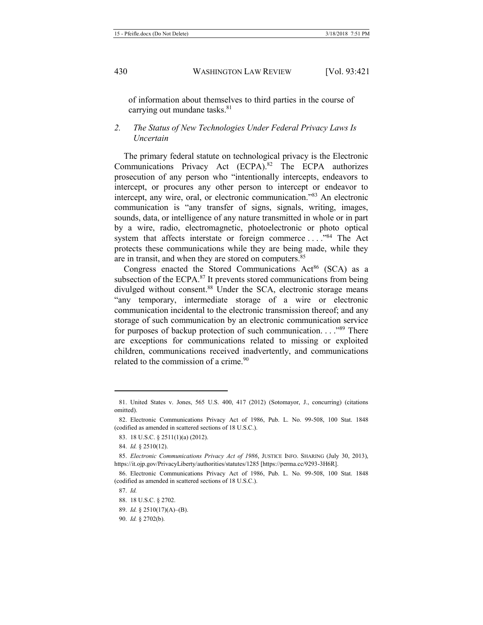of information about themselves to third parties in the course of carrying out mundane tasks.<sup>81</sup>

#### *2. The Status of New Technologies Under Federal Privacy Laws Is Uncertain*

The primary federal statute on technological privacy is the Electronic Communications Privacy Act (ECPA).<sup>82</sup> The ECPA authorizes prosecution of any person who "intentionally intercepts, endeavors to intercept, or procures any other person to intercept or endeavor to intercept, any wire, oral, or electronic communication."<sup>83</sup> An electronic communication is "any transfer of signs, signals, writing, images, sounds, data, or intelligence of any nature transmitted in whole or in part by a wire, radio, electromagnetic, photoelectronic or photo optical system that affects interstate or foreign commerce ...."<sup>84</sup> The Act protects these communications while they are being made, while they are in transit, and when they are stored on computers.<sup>85</sup>

<span id="page-10-0"></span>Congress enacted the Stored Communications  $Act^{86}$  (SCA) as a subsection of the ECPA.<sup>87</sup> It prevents stored communications from being divulged without consent.<sup>88</sup> Under the SCA, electronic storage means "any temporary, intermediate storage of a wire or electronic communication incidental to the electronic transmission thereof; and any storage of such communication by an electronic communication service for purposes of backup protection of such communication. . . .<sup>89</sup> There are exceptions for communications related to missing or exploited children, communications received inadvertently, and communications related to the commission of a crime.<sup>90</sup>

1

<sup>81.</sup> United States v. Jones, 565 U.S. 400, 417 (2012) (Sotomayor, J., concurring) (citations omitted).

<sup>82.</sup> Electronic Communications Privacy Act of 1986, Pub. L. No. 99-508, 100 Stat. 1848 (codified as amended in scattered sections of 18 U.S.C.).

<sup>83.</sup> 18 U.S.C. § 2511(1)(a) (2012).

<sup>84.</sup> *Id.* § 2510(12).

<sup>85.</sup> *Electronic Communications Privacy Act of 1986*, JUSTICE INFO. SHARING (July 30, 2013), https://it.ojp.gov/PrivacyLiberty/authorities/statutes/1285 [https://perma.cc/9293-3H6R].

<sup>86.</sup> Electronic Communications Privacy Act of 1986, Pub. L. No. 99-508, 100 Stat. 1848 (codified as amended in scattered sections of 18 U.S.C.).

<sup>87.</sup> *Id.* 

<sup>88.</sup> 18 U.S.C. § 2702.

<sup>89.</sup> *Id.* § 2510(17)(A)–(B).

<sup>90.</sup> *Id.* § 2702(b).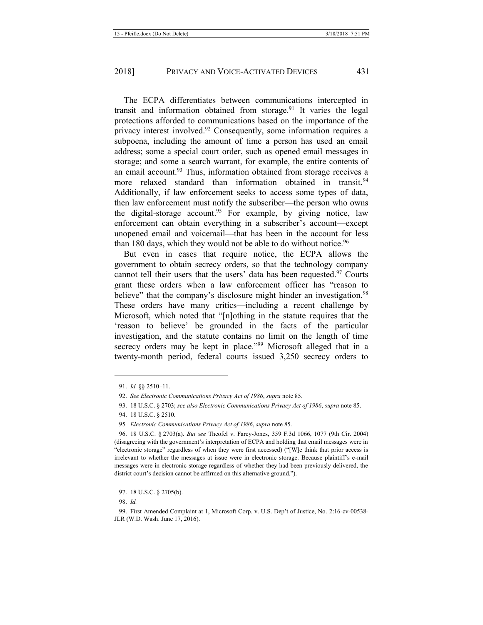The ECPA differentiates between communications intercepted in transit and information obtained from storage.<sup>91</sup> It varies the legal protections afforded to communications based on the importance of the privacy interest involved.<sup>92</sup> Consequently, some information requires a subpoena, including the amount of time a person has used an email address; some a special court order, such as opened email messages in storage; and some a search warrant, for example, the entire contents of an email account.<sup>93</sup> Thus, information obtained from storage receives a more relaxed standard than information obtained in transit.<sup>94</sup> Additionally, if law enforcement seeks to access some types of data, then law enforcement must notify the subscriber—the person who owns the digital-storage account.<sup>95</sup> For example, by giving notice, law enforcement can obtain everything in a subscriber's account—except unopened email and voicemail—that has been in the account for less than 180 days, which they would not be able to do without notice.<sup>96</sup>

<span id="page-11-1"></span>But even in cases that require notice, the ECPA allows the government to obtain secrecy orders, so that the technology company cannot tell their users that the users' data has been requested.<sup>97</sup> Courts grant these orders when a law enforcement officer has "reason to believe" that the company's disclosure might hinder an investigation.<sup>98</sup> These orders have many critics—including a recent challenge by Microsoft, which noted that "[n]othing in the statute requires that the 'reason to believe' be grounded in the facts of the particular investigation, and the statute contains no limit on the length of time secrecy orders may be kept in place."<sup>99</sup> Microsoft alleged that in a twenty-month period, federal courts issued 3,250 secrecy orders to

<span id="page-11-0"></span><sup>91.</sup> *Id.* §§ 2510–11.

<sup>92.</sup> *See Electronic Communications Privacy Act of 1986*, *supra* not[e 85.](#page-10-0)

<sup>93.</sup> 18 U.S.C. § 2703; *see also Electronic Communications Privacy Act of 1986*, *supra* note [85.](#page-10-0)

<sup>94.</sup> 18 U.S.C. § 2510.

<sup>95</sup>*. Electronic Communications Privacy Act of 1986*, *supra* not[e 85.](#page-10-0)

<sup>96.</sup> 18 U.S.C. § 2703(a). *But see* Theofel v. Farey-Jones, 359 F.3d 1066, 1077 (9th Cir. 2004) (disagreeing with the government's interpretation of ECPA and holding that email messages were in "electronic storage" regardless of when they were first accessed) ("[W]e think that prior access is irrelevant to whether the messages at issue were in electronic storage. Because plaintiff's e-mail messages were in electronic storage regardless of whether they had been previously delivered, the district court's decision cannot be affirmed on this alternative ground.").

<sup>97.</sup> 18 U.S.C. § 2705(b).

<sup>98.</sup> *Id.*

<sup>99.</sup> First Amended Complaint at 1, Microsoft Corp. v. U.S. Dep't of Justice, No. 2:16-cv-00538- JLR (W.D. Wash. June 17, 2016).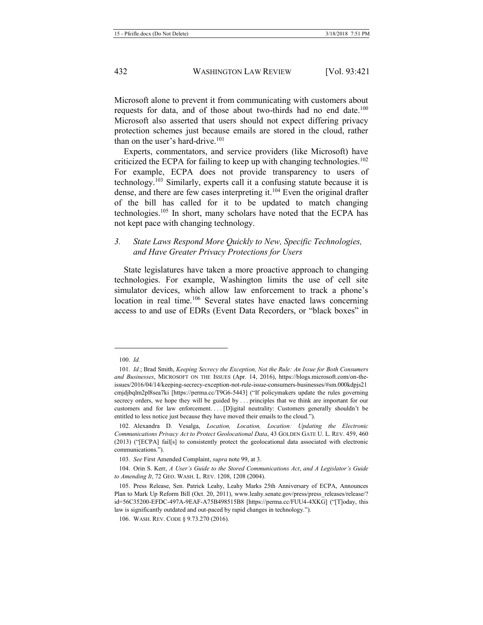Microsoft alone to prevent it from communicating with customers about requests for data, and of those about two-thirds had no end date.<sup>100</sup> Microsoft also asserted that users should not expect differing privacy protection schemes just because emails are stored in the cloud, rather than on the user's hard-drive.<sup>101</sup>

<span id="page-12-2"></span><span id="page-12-1"></span>Experts, commentators, and service providers (like Microsoft) have criticized the ECPA for failing to keep up with changing technologies.102 For example, ECPA does not provide transparency to users of technology.<sup>103</sup> Similarly, experts call it a confusing statute because it is dense, and there are few cases interpreting it.<sup>104</sup> Even the original drafter of the bill has called for it to be updated to match changing technologies.105 In short, many scholars have noted that the ECPA has not kept pace with changing technology.

#### <span id="page-12-0"></span>*3. State Laws Respond More Quickly to New, Specific Technologies, and Have Greater Privacy Protections for Users*

State legislatures have taken a more proactive approach to changing technologies. For example, Washington limits the use of cell site simulator devices, which allow law enforcement to track a phone's location in real time.<sup>106</sup> Several states have enacted laws concerning access to and use of EDRs (Event Data Recorders, or "black boxes" in

<sup>100.</sup> *Id.*

<sup>101.</sup> *Id.*; Brad Smith, *Keeping Secrecy the Exception, Not the Rule: An Issue for Both Consumers and Businesses*, MICROSOFT ON THE ISSUES (Apr. 14, 2016), https://blogs.microsoft.com/on-theissues/2016/04/14/keeping-secrecy-exception-not-rule-issue-consumers-businesses/#sm.000kdpjs21 cmjdjbqlm2pl8sea7ki [https://perma.cc/T9G6-5443] ("If policymakers update the rules governing secrecy orders, we hope they will be guided by . . . principles that we think are important for our customers and for law enforcement. . . . [D]igital neutrality: Customers generally shouldn't be entitled to less notice just because they have moved their emails to the cloud.").

<sup>102.</sup> Alexandra D. Vesalga, *Location, Location, Location: Updating the Electronic Communications Privacy Act to Protect Geolocational Data*, 43 GOLDEN GATE U. L. REV. 459, 460 (2013) ("[ECPA] fail[s] to consistently protect the geolocational data associated with electronic communications.").

<sup>103.</sup> *See* First Amended Complaint, *supra* note [99,](#page-11-0) at 3.

<sup>104.</sup> Orin S. Kerr, *A User's Guide to the Stored Communications Act*, *and A Legislator's Guide to Amending It*, 72 GEO. WASH. L. REV. 1208, 1208 (2004).

<sup>105.</sup> Press Release, Sen. Patrick Leahy, Leahy Marks 25th Anniversary of ECPA, Announces Plan to Mark Up Reform Bill (Oct. 20, 2011), www.leahy.senate.gov/press/press releases/release/? id=56C35200-EFDC-497A-9EAF-A75B498515B8 [https://perma.cc/FUU4-4XKG] ("[T]oday, this law is significantly outdated and out-paced by rapid changes in technology.").

<sup>106.</sup> WASH. REV. CODE § 9.73.270 (2016).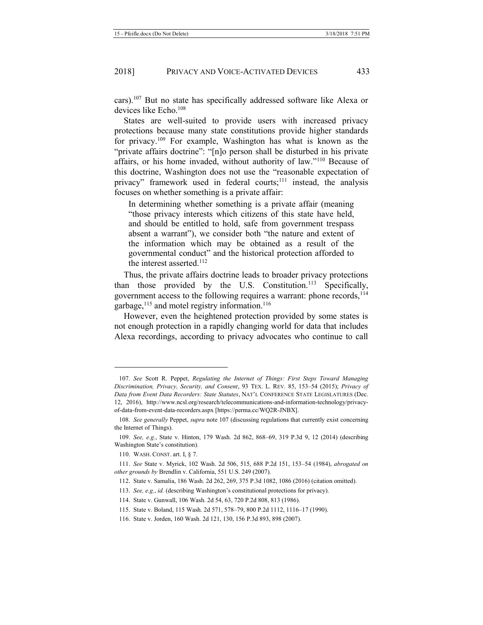<span id="page-13-0"></span>cars).107 But no state has specifically addressed software like Alexa or devices like Echo.108

States are well-suited to provide users with increased privacy protections because many state constitutions provide higher standards for privacy.109 For example, Washington has what is known as the "private affairs doctrine": "[n]o person shall be disturbed in his private affairs, or his home invaded, without authority of law."<sup>110</sup> Because of this doctrine, Washington does not use the "reasonable expectation of privacy" framework used in federal courts; $^{111}$  instead, the analysis focuses on whether something is a private affair:

In determining whether something is a private affair (meaning "those privacy interests which citizens of this state have held, and should be entitled to hold, safe from government trespass absent a warrant"), we consider both "the nature and extent of the information which may be obtained as a result of the governmental conduct" and the historical protection afforded to the interest asserted.<sup>112</sup>

Thus, the private affairs doctrine leads to broader privacy protections than those provided by the U.S. Constitution.<sup>113</sup> Specifically, government access to the following requires a warrant: phone records, <sup>114</sup> garbage,<sup>115</sup> and motel registry information.<sup>116</sup>

However, even the heightened protection provided by some states is not enough protection in a rapidly changing world for data that includes Alexa recordings, according to privacy advocates who continue to call

<sup>107.</sup> *See* Scott R. Peppet, *Regulating the Internet of Things: First Steps Toward Managing Discrimination, Privacy, Security, and Consent*, 93 TEX. L. REV. 85, 153–54 (2015); *Privacy of Data from Event Data Recorders: State Statutes*, NAT'L CONFERENCE STATE LEGISLATURES (Dec. 12, 2016), http://www.ncsl.org/research/telecommunications-and-information-technology/privacyof-data-from-event-data-recorders.aspx [https://perma.cc/WQ2R-JNBX].

<sup>108.</sup> *See generally* Peppet, *supra* not[e 107](#page-13-0) (discussing regulations that currently exist concerning the Internet of Things).

<sup>109.</sup> *See, e.g.*, State v. Hinton, 179 Wash. 2d 862, 868–69, 319 P.3d 9, 12 (2014) (describing Washington State's constitution).

<sup>110.</sup> WASH. CONST. art. I, § 7.

<sup>111.</sup> *See* State v. Myrick, 102 Wash. 2d 506, 515, 688 P.2d 151, 153–54 (1984), *abrogated on other grounds by* Brendlin v. California, 551 U.S. 249 (2007).

<sup>112.</sup> State v. Samalia, 186 Wash. 2d 262, 269, 375 P.3d 1082, 1086 (2016) (citation omitted).

<sup>113.</sup> *See, e.g.*, *id.* (describing Washington's constitutional protections for privacy).

<sup>114.</sup> State v. Gunwall, 106 Wash. 2d 54, 63, 720 P.2d 808, 813 (1986).

<sup>115.</sup> State v. Boland, 115 Wash. 2d 571, 578–79, 800 P.2d 1112, 1116–17 (1990).

<sup>116.</sup> State v. Jorden, 160 Wash. 2d 121, 130, 156 P.3d 893, 898 (2007).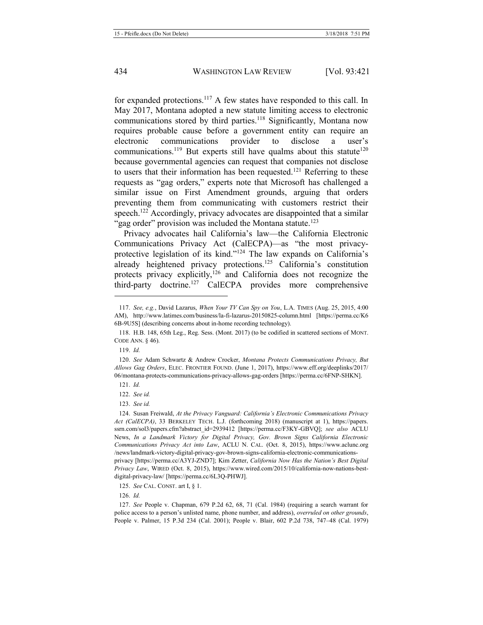<span id="page-14-1"></span>for expanded protections.117 A few states have responded to this call. In May 2017, Montana adopted a new statute limiting access to electronic communications stored by third parties.<sup>118</sup> Significantly, Montana now requires probable cause before a government entity can require an electronic communications provider to disclose a user's communications.<sup>119</sup> But experts still have qualms about this statute<sup>120</sup> because governmental agencies can request that companies not disclose to users that their information has been requested.<sup>121</sup> Referring to these requests as "gag orders," experts note that Microsoft has challenged a similar issue on First Amendment grounds, arguing that orders preventing them from communicating with customers restrict their speech.<sup>122</sup> Accordingly, privacy advocates are disappointed that a similar "gag order" provision was included the Montana statute.<sup>123</sup>

<span id="page-14-0"></span>Privacy advocates hail California's law—the California Electronic Communications Privacy Act (CalECPA)—as "the most privacyprotective legislation of its kind."<sup>124</sup> The law expands on California's already heightened privacy protections.<sup>125</sup> California's constitution protects privacy explicitly,<sup>126</sup> and California does not recognize the third-party doctrine.127 CalECPA provides more comprehensive

119. *Id.* 

<sup>117.</sup> *See, e.g.*, David Lazarus, *When Your TV Can Spy on You*, L.A. TIMES (Aug. 25, 2015, 4:00 AM), http://www.latimes.com/business/la-fi-lazarus-20150825-column.html [https://perma.cc/K6 6B-9U5S] (describing concerns about in-home recording technology).

<sup>118.</sup> H.B. 148, 65th Leg., Reg. Sess. (Mont. 2017) (to be codified in scattered sections of MONT. CODE ANN. § 46).

<sup>120.</sup> *See* Adam Schwartz & Andrew Crocker, *Montana Protects Communications Privacy, But Allows Gag Orders*, ELEC. FRONTIER FOUND. (June 1, 2017), https://www.eff.org/deeplinks/2017/ 06/montana-protects-communications-privacy-allows-gag-orders [https://perma.cc/6FNP-SHKN].

<sup>121.</sup> *Id.* 

<sup>122.</sup> *See id.*

<sup>123.</sup> *See id.*

<sup>124.</sup> Susan Freiwald, *At the Privacy Vanguard: California's Electronic Communications Privacy Act (CalECPA)*, 33 BERKELEY TECH. L.J. (forthcoming 2018) (manuscript at 1), https://papers. ssrn.com/sol3/papers.cfm?abstract\_id=2939412 [https://perma.cc/F3KY-GBVQ]; *see also* ACLU News, *In a Landmark Victory for Digital Privacy, Gov. Brown Signs California Electronic Communications Privacy Act into Law*, ACLU N. CAL. (Oct. 8, 2015), https://www.aclunc.org /news/landmark-victory-digital-privacy-gov-brown-signs-california-electronic-communicationsprivacy [https://perma.cc/A3YJ-ZND7]; Kim Zetter, *California Now Has the Nation's Best Digital Privacy Law*, WIRED (Oct. 8, 2015), https://www.wired.com/2015/10/california-now-nations-bestdigital-privacy-law/ [https://perma.cc/6L3Q-PHWJ].

<sup>125.</sup> *See* CAL. CONST. art I, § 1.

<sup>126.</sup> *Id.*

<sup>127.</sup> *See* People v. Chapman, 679 P.2d 62, 68, 71 (Cal. 1984) (requiring a search warrant for police access to a person's unlisted name, phone number, and address), *overruled on other grounds*, People v. Palmer, 15 P.3d 234 (Cal. 2001); People v. Blair, 602 P.2d 738, 747–48 (Cal. 1979)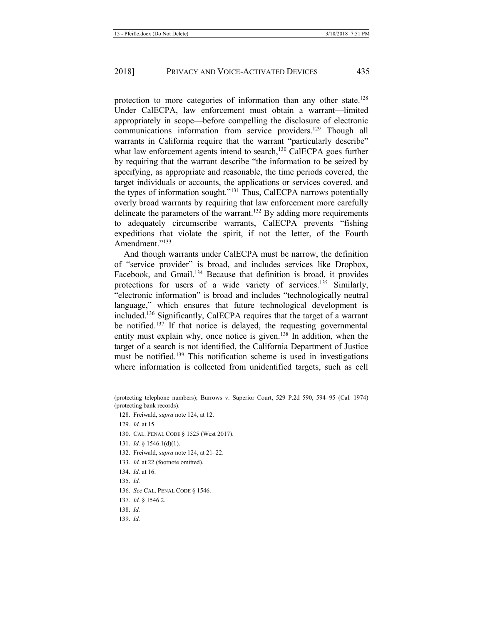protection to more categories of information than any other state.<sup>128</sup> Under CalECPA, law enforcement must obtain a warrant—limited appropriately in scope—before compelling the disclosure of electronic communications information from service providers.<sup>129</sup> Though all warrants in California require that the warrant "particularly describe" what law enforcement agents intend to search,<sup>130</sup> CalECPA goes further by requiring that the warrant describe "the information to be seized by specifying, as appropriate and reasonable, the time periods covered, the target individuals or accounts, the applications or services covered, and the types of information sought."<sup>131</sup> Thus, CalECPA narrows potentially overly broad warrants by requiring that law enforcement more carefully delineate the parameters of the warrant.<sup>132</sup> By adding more requirements to adequately circumscribe warrants, CalECPA prevents "fishing expeditions that violate the spirit, if not the letter, of the Fourth Amendment."<sup>133</sup>

And though warrants under CalECPA must be narrow, the definition of "service provider" is broad, and includes services like Dropbox, Facebook, and Gmail.<sup>134</sup> Because that definition is broad, it provides protections for users of a wide variety of services.<sup>135</sup> Similarly, "electronic information" is broad and includes "technologically neutral language," which ensures that future technological development is included.136 Significantly, CalECPA requires that the target of a warrant be notified.<sup>137</sup> If that notice is delayed, the requesting governmental entity must explain why, once notice is given.<sup>138</sup> In addition, when the target of a search is not identified, the California Department of Justice must be notified.139 This notification scheme is used in investigations where information is collected from unidentified targets, such as cell

- 132. Freiwald, *supra* not[e 124,](#page-14-0) at 21–22.
- 133. *Id.* at 22 (footnote omitted).
- 134. *Id.* at 16.
- 135. *Id.*

- 137. *Id.* § 1546.2.
- 138. *Id.*
- 139. *Id.*

<sup>(</sup>protecting telephone numbers); Burrows v. Superior Court, 529 P.2d 590, 594–95 (Cal. 1974) (protecting bank records).

<sup>128.</sup> Freiwald, *supra* not[e 124,](#page-14-0) at 12.

<sup>129.</sup> *Id.* at 15.

<sup>130.</sup> CAL. PENAL CODE § 1525 (West 2017).

<sup>131.</sup> *Id.* § 1546.1(d)(1).

<sup>136.</sup> *See* CAL. PENAL CODE § 1546.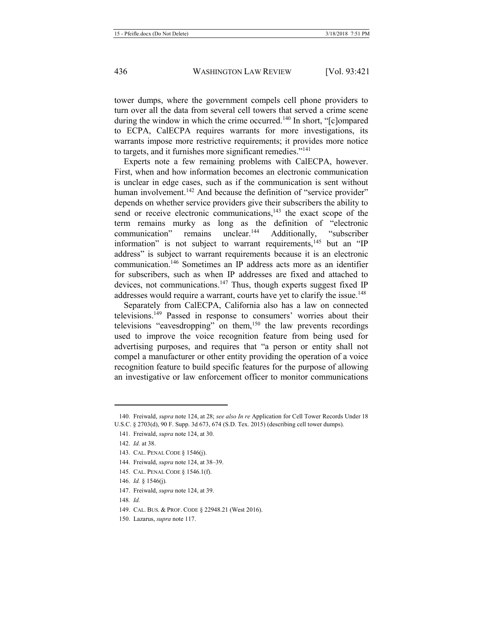tower dumps, where the government compels cell phone providers to turn over all the data from several cell towers that served a crime scene during the window in which the crime occurred.<sup>140</sup> In short, "[c]ompared to ECPA, CalECPA requires warrants for more investigations, its warrants impose more restrictive requirements; it provides more notice to targets, and it furnishes more significant remedies."<sup>141</sup>

Experts note a few remaining problems with CalECPA, however. First, when and how information becomes an electronic communication is unclear in edge cases, such as if the communication is sent without human involvement.<sup>142</sup> And because the definition of "service provider" depends on whether service providers give their subscribers the ability to send or receive electronic communications,<sup>143</sup> the exact scope of the term remains murky as long as the definition of "electronic<br>communication" remains unclear.<sup>144</sup> Additionally. "subscriber communication" remains unclear.<sup>144</sup> Additionally, "subscriber information" is not subject to warrant requirements, $145$  but an "IP address" is subject to warrant requirements because it is an electronic communication.146 Sometimes an IP address acts more as an identifier for subscribers, such as when IP addresses are fixed and attached to devices, not communications.<sup>147</sup> Thus, though experts suggest fixed IP addresses would require a warrant, courts have yet to clarify the issue.<sup>148</sup>

Separately from CalECPA, California also has a law on connected televisions.149 Passed in response to consumers' worries about their televisions "eavesdropping" on them,<sup>150</sup> the law prevents recordings used to improve the voice recognition feature from being used for advertising purposes, and requires that "a person or entity shall not compel a manufacturer or other entity providing the operation of a voice recognition feature to build specific features for the purpose of allowing an investigative or law enforcement officer to monitor communications

1

<sup>140.</sup> Freiwald, *supra* not[e 124,](#page-14-0) at 28; *see also In re* Application for Cell Tower Records Under 18 U.S.C. § 2703(d), 90 F. Supp. 3d 673, 674 (S.D. Tex. 2015) (describing cell tower dumps).

<sup>141.</sup> Freiwald, *supra* not[e 124,](#page-14-0) at 30.

<sup>142.</sup> *Id.* at 38.

<sup>143.</sup> CAL. PENAL CODE § 1546(j).

<sup>144.</sup> Freiwald, *supra* not[e 124,](#page-14-0) at 38–39.

<sup>145.</sup> CAL. PENAL CODE § 1546.1(f).

<sup>146.</sup> *Id.* § 1546(j).

<sup>147.</sup> Freiwald, *supra* not[e 124,](#page-14-0) at 39.

<sup>148</sup>*. Id.* 

<sup>149.</sup> CAL. BUS. & PROF. CODE § 22948.21 (West 2016).

<sup>150.</sup> Lazarus, *supra* not[e 117.](#page-14-1)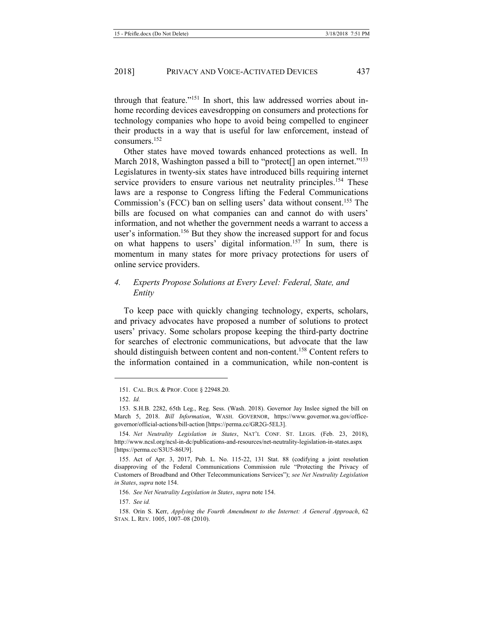through that feature."<sup>151</sup> In short, this law addressed worries about inhome recording devices eavesdropping on consumers and protections for technology companies who hope to avoid being compelled to engineer their products in a way that is useful for law enforcement, instead of consumers.152

<span id="page-17-1"></span><span id="page-17-0"></span>Other states have moved towards enhanced protections as well. In March 2018, Washington passed a bill to "protect<sup>[]</sup> an open internet."<sup>153</sup> Legislatures in twenty-six states have introduced bills requiring internet service providers to ensure various net neutrality principles.<sup>154</sup> These laws are a response to Congress lifting the Federal Communications Commission's (FCC) ban on selling users' data without consent.<sup>155</sup> The bills are focused on what companies can and cannot do with users' information, and not whether the government needs a warrant to access a user's information.<sup>156</sup> But they show the increased support for and focus on what happens to users' digital information.<sup>157</sup> In sum, there is momentum in many states for more privacy protections for users of online service providers.

#### *4. Experts Propose Solutions at Every Level: Federal, State, and Entity*

To keep pace with quickly changing technology, experts, scholars, and privacy advocates have proposed a number of solutions to protect users' privacy. Some scholars propose keeping the third-party doctrine for searches of electronic communications, but advocate that the law should distinguish between content and non-content.<sup>158</sup> Content refers to the information contained in a communication, while non-content is

<u>.</u>

157. *See id.* 

<sup>151.</sup> CAL. BUS. & PROF. CODE § 22948.20.

<sup>152.</sup> *Id.* 

<sup>153.</sup> S.H.B. 2282, 65th Leg., Reg. Sess. (Wash. 2018). Governor Jay Inslee signed the bill on March 5, 2018. *Bill Information*, WASH. GOVERNOR, https://www.governor.wa.gov/officegovernor/official-actions/bill-action [https://perma.cc/GR2G-5EL3].

<sup>154.</sup> *Net Neutrality Legislation in States*, NAT'L CONF. ST. LEGIS. (Feb. 23, 2018), http://www.ncsl.org/ncsl-in-dc/publications-and-resources/net-neutrality-legislation-in-states.aspx [https://perma.cc/S3U5-86U9].

<sup>155.</sup> Act of Apr. 3, 2017, Pub. L. No. 115-22, 131 Stat. 88 (codifying a joint resolution disapproving of the Federal Communications Commission rule "Protecting the Privacy of Customers of Broadband and Other Telecommunications Services"); *see Net Neutrality Legislation in States*, *supra* not[e 154.](#page-17-0)

<sup>156.</sup> *See Net Neutrality Legislation in States*, *supra* not[e 154.](#page-17-0)

<sup>158.</sup> Orin S. Kerr, *Applying the Fourth Amendment to the Internet: A General Approach*, 62 STAN. L. REV. 1005, 1007–08 (2010).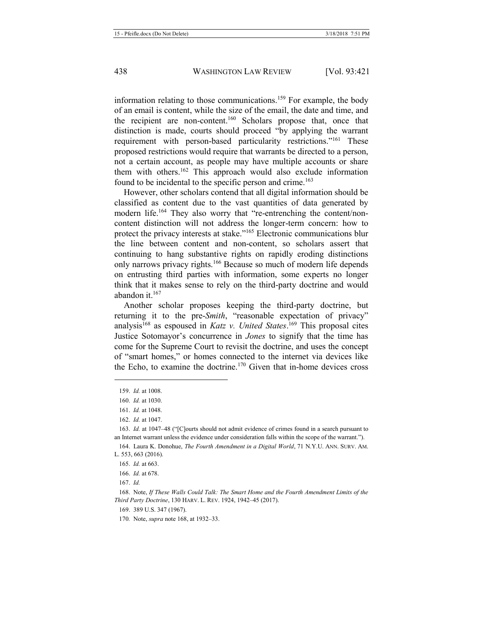information relating to those communications.159 For example, the body of an email is content, while the size of the email, the date and time, and the recipient are non-content.160 Scholars propose that, once that distinction is made, courts should proceed "by applying the warrant requirement with person-based particularity restrictions."<sup>161</sup> These proposed restrictions would require that warrants be directed to a person, not a certain account, as people may have multiple accounts or share them with others.162 This approach would also exclude information found to be incidental to the specific person and crime.<sup>163</sup>

<span id="page-18-1"></span>However, other scholars contend that all digital information should be classified as content due to the vast quantities of data generated by modern life.<sup>164</sup> They also worry that "re-entrenching the content/noncontent distinction will not address the longer-term concern: how to protect the privacy interests at stake."<sup>165</sup> Electronic communications blur the line between content and non-content, so scholars assert that continuing to hang substantive rights on rapidly eroding distinctions only narrows privacy rights.<sup>166</sup> Because so much of modern life depends on entrusting third parties with information, some experts no longer think that it makes sense to rely on the third-party doctrine and would abandon it. $167$ 

<span id="page-18-2"></span><span id="page-18-0"></span>Another scholar proposes keeping the third-party doctrine, but returning it to the pre-*Smith*, "reasonable expectation of privacy" analysis168 as espoused in *Katz v. United States*. <sup>169</sup> This proposal cites Justice Sotomayor's concurrence in *Jones* to signify that the time has come for the Supreme Court to revisit the doctrine, and uses the concept of "smart homes," or homes connected to the internet via devices like the Echo, to examine the doctrine.170 Given that in-home devices cross

<u>.</u>

167. *Id.*

<sup>159.</sup> *Id.* at 1008.

<sup>160.</sup> *Id.* at 1030.

<sup>161.</sup> *Id.* at 1048.

<sup>162.</sup> *Id.* at 1047.

<sup>163.</sup> *Id.* at 1047–48 ("[C]ourts should not admit evidence of crimes found in a search pursuant to an Internet warrant unless the evidence under consideration falls within the scope of the warrant.").

<sup>164.</sup> Laura K. Donohue, *The Fourth Amendment in a Digital World*, 71 N.Y.U. ANN. SURV. AM. L. 553, 663 (2016).

<sup>165.</sup> *Id.* at 663.

<sup>166.</sup> *Id.* at 678.

<sup>168.</sup> Note, *If These Walls Could Talk: The Smart Home and the Fourth Amendment Limits of the Third Party Doctrine*, 130 HARV. L. REV. 1924, 1942–45 (2017).

<sup>169.</sup> 389 U.S. 347 (1967).

<sup>170</sup>*.* Note, *supra* not[e 168,](#page-18-0) at 1932–33.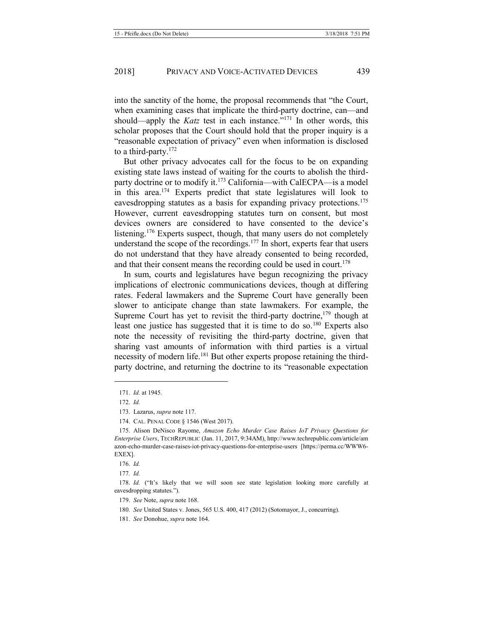into the sanctity of the home, the proposal recommends that "the Court, when examining cases that implicate the third-party doctrine, can—and should—apply the *Katz* test in each instance."<sup>171</sup> In other words, this scholar proposes that the Court should hold that the proper inquiry is a "reasonable expectation of privacy" even when information is disclosed to a third-party.<sup>172</sup>

<span id="page-19-1"></span><span id="page-19-0"></span>But other privacy advocates call for the focus to be on expanding existing state laws instead of waiting for the courts to abolish the thirdparty doctrine or to modify it.173 California—with CalECPA—is a model in this area.<sup>174</sup> Experts predict that state legislatures will look to eavesdropping statutes as a basis for expanding privacy protections.175 However, current eavesdropping statutes turn on consent, but most devices owners are considered to have consented to the device's listening.<sup>176</sup> Experts suspect, though, that many users do not completely understand the scope of the recordings. $177$  In short, experts fear that users do not understand that they have already consented to being recorded, and that their consent means the recording could be used in court.<sup>178</sup>

In sum, courts and legislatures have begun recognizing the privacy implications of electronic communications devices, though at differing rates. Federal lawmakers and the Supreme Court have generally been slower to anticipate change than state lawmakers. For example, the Supreme Court has yet to revisit the third-party doctrine,  $179$  though at least one justice has suggested that it is time to do so.180 Experts also note the necessity of revisiting the third-party doctrine, given that sharing vast amounts of information with third parties is a virtual necessity of modern life.<sup>181</sup> But other experts propose retaining the thirdparty doctrine, and returning the doctrine to its "reasonable expectation

<sup>171.</sup> *Id.* at 1945.

<sup>172.</sup> *Id.*

<sup>173.</sup> Lazarus, *supra* not[e 117.](#page-14-1)

<sup>174.</sup> CAL. PENAL CODE § 1546 (West 2017).

<sup>175.</sup> Alison DeNisco Rayome, *Amazon Echo Murder Case Raises IoT Privacy Questions for Enterprise Users*, TECHREPUBLIC (Jan. 11, 2017, 9:34AM), http://www.techrepublic.com/article/am azon-echo-murder-case-raises-iot-privacy-questions-for-enterprise-users [https://perma.cc/WWW6- EXEX].

<sup>176.</sup> *Id.* 

<sup>177</sup>*. Id.*

<sup>178.</sup> *Id.* ("It's likely that we will soon see state legislation looking more carefully at eavesdropping statutes.").

<sup>179.</sup> *See* Note, *supra* not[e 168.](#page-18-0) 

<sup>180.</sup> *See* United States v. Jones, 565 U.S. 400, 417 (2012) (Sotomayor, J., concurring).

<sup>181.</sup> *See* Donohue, *supra* not[e 164.](#page-18-1)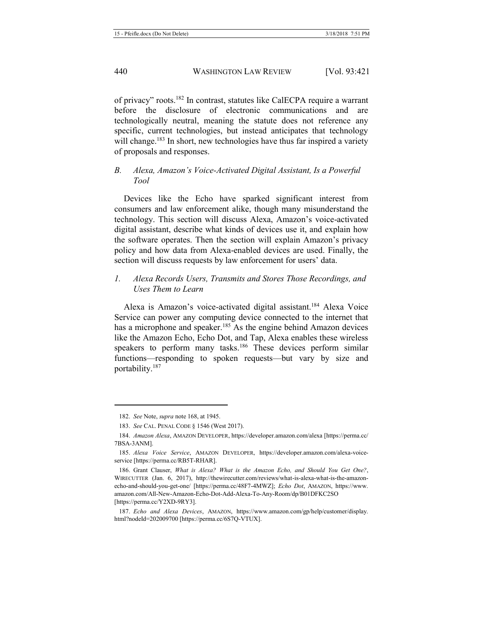of privacy" roots.<sup>182</sup> In contrast, statutes like CalECPA require a warrant before the disclosure of electronic communications and are technologically neutral, meaning the statute does not reference any specific, current technologies, but instead anticipates that technology will change.<sup>183</sup> In short, new technologies have thus far inspired a variety of proposals and responses.

#### *B. Alexa, Amazon's Voice-Activated Digital Assistant, Is a Powerful Tool*

Devices like the Echo have sparked significant interest from consumers and law enforcement alike, though many misunderstand the technology. This section will discuss Alexa, Amazon's voice-activated digital assistant, describe what kinds of devices use it, and explain how the software operates. Then the section will explain Amazon's privacy policy and how data from Alexa-enabled devices are used. Finally, the section will discuss requests by law enforcement for users' data.

## *1. Alexa Records Users, Transmits and Stores Those Recordings, and Uses Them to Learn*

Alexa is Amazon's voice-activated digital assistant.184 Alexa Voice Service can power any computing device connected to the internet that has a microphone and speaker.<sup>185</sup> As the engine behind Amazon devices like the Amazon Echo, Echo Dot, and Tap, Alexa enables these wireless speakers to perform many tasks.<sup>186</sup> These devices perform similar functions—responding to spoken requests—but vary by size and portability.187

1

<sup>182.</sup> *See* Note, *supra* not[e 168,](#page-18-0) at 1945.

<sup>183.</sup> *See* CAL. PENAL CODE § 1546 (West 2017).

<sup>184.</sup> *Amazon Alexa*, AMAZON DEVELOPER, https://developer.amazon.com/alexa [https://perma.cc/ 7BSA-3ANM].

<sup>185.</sup> *Alexa Voice Service*, AMAZON DEVELOPER, https://developer.amazon.com/alexa-voiceservice [https://perma.cc/RB5T-RHAR].

<sup>186.</sup> Grant Clauser, *What is Alexa? What is the Amazon Echo, and Should You Get One?*, WIRECUTTER (Jan. 6, 2017), http://thewirecutter.com/reviews/what-is-alexa-what-is-the-amazonecho-and-should-you-get-one/ [https://perma.cc/48F7-4MWZ]; *Echo Dot*, AMAZON, https://www. amazon.com/All-New-Amazon-Echo-Dot-Add-Alexa-To-Any-Room/dp/B01DFKC2SO [https://perma.cc/Y2XD-9RY3].

<sup>187.</sup> *Echo and Alexa Devices*, AMAZON, https://www.amazon.com/gp/help/customer/display. html?nodeId=202009700 [https://perma.cc/6S7Q-VTUX].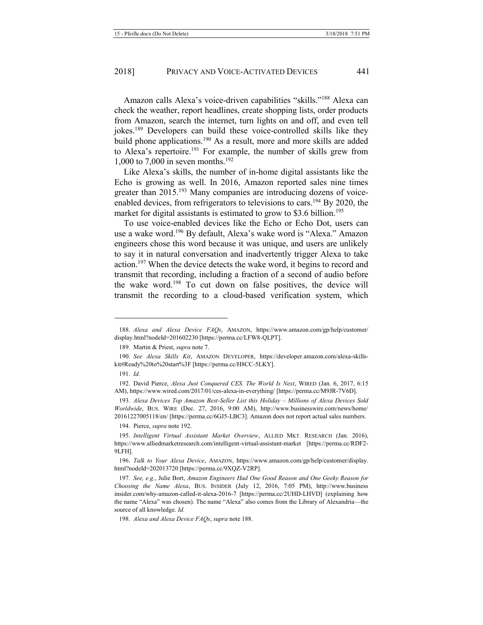<span id="page-21-1"></span>Amazon calls Alexa's voice-driven capabilities "skills."<sup>188</sup> Alexa can check the weather, report headlines, create shopping lists, order products from Amazon, search the internet, turn lights on and off, and even tell jokes.189 Developers can build these voice-controlled skills like they build phone applications.190 As a result, more and more skills are added to Alexa's repertoire.<sup>191</sup> For example, the number of skills grew from 1,000 to 7,000 in seven months.<sup>192</sup>

<span id="page-21-0"></span>Like Alexa's skills, the number of in-home digital assistants like the Echo is growing as well. In 2016, Amazon reported sales nine times greater than 2015.<sup>193</sup> Many companies are introducing dozens of voiceenabled devices, from refrigerators to televisions to cars.<sup>194</sup> By 2020, the market for digital assistants is estimated to grow to \$3.6 billion.<sup>195</sup>

<span id="page-21-2"></span>To use voice-enabled devices like the Echo or Echo Dot, users can use a wake word.196 By default, Alexa's wake word is "Alexa." Amazon engineers chose this word because it was unique, and users are unlikely to say it in natural conversation and inadvertently trigger Alexa to take action.<sup>197</sup> When the device detects the wake word, it begins to record and transmit that recording, including a fraction of a second of audio before the wake word.198 To cut down on false positives, the device will transmit the recording to a cloud-based verification system, which

-

193. Alexa Devices Top Amazon Best-Seller List this Holiday – Millions of Alexa Devices Sold *Worldwide*, BUS. WIRE (Dec. 27, 2016, 9:00 AM), http://www.businesswire.com/news/home/ 20161227005118/en/ [https://perma.cc/6GJ5-LBC3]. Amazon does not report actual sales numbers.

<sup>188.</sup> *Alexa and Alexa Device FAQs*, AMAZON, https://www.amazon.com/gp/help/customer/ display.html?nodeId=201602230 [https://perma.cc/LFW8-QLPT].

<sup>189.</sup> Martin & Priest, *supra* not[e 7.](#page-2-1)

<sup>190.</sup> *See Alexa Skills Kit*, AMAZON DEVELOPER, https://developer.amazon.com/alexa-skillskit#Ready%20to%20start%3F [https://perma.cc/H8CC-5LKY].

<sup>191.</sup> *Id.* 

<sup>192.</sup> David Pierce, *Alexa Just Conquered CES. The World Is Next*, WIRED (Jan. 6, 2017, 6:15 AM), https://www.wired.com/2017/01/ces-alexa-in-everything/ [https://perma.cc/M9JR-7V6D].

<sup>194.</sup> Pierce, *supra* not[e 192.](#page-21-0)

<sup>195.</sup> *Intelligent Virtual Assistant Market Overview*, ALLIED MKT. RESEARCH (Jan. 2016), https://www.alliedmarketresearch.com/intelligent-virtual-assistant-market [https://perma.cc/RDF2- 9LFH].

<sup>196.</sup> *Talk to Your Alexa Device*, AMAZON, https://www.amazon.com/gp/help/customer/display. html?nodeId=202013720 [https://perma.cc/9XQZ-V2RP].

<sup>197.</sup> *See, e.g.*, Julie Bort, *Amazon Engineers Had One Good Reason and One Geeky Reason for Choosing the Name Alexa*, BUS. INSIDER (July 12, 2016, 7:05 PM), http://www.business insider.com/why-amazon-called-it-alexa-2016-7 [https://perma.cc/2UHD-LHVD] (explaining how the name "Alexa" was chosen). The name "Alexa" also comes from the Library of Alexandria—the source of all knowledge. *Id.* 

<sup>198.</sup> *Alexa and Alexa Device FAQs*, *supra* not[e 188.](#page-21-1)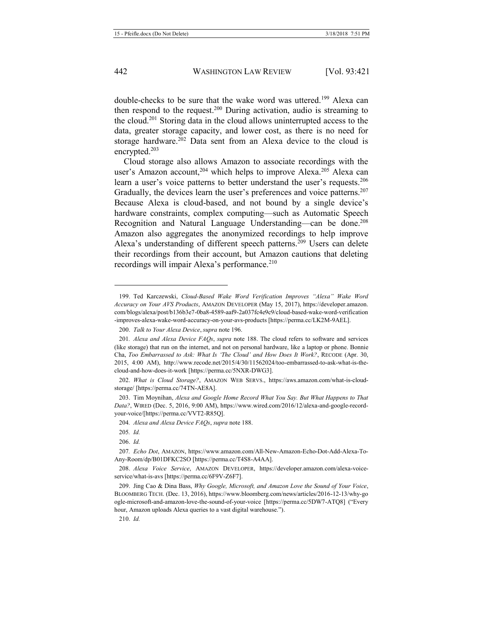double-checks to be sure that the wake word was uttered.<sup>199</sup> Alexa can then respond to the request.200 During activation, audio is streaming to the cloud.201 Storing data in the cloud allows uninterrupted access to the data, greater storage capacity, and lower cost, as there is no need for storage hardware.<sup>202</sup> Data sent from an Alexa device to the cloud is encrypted.203

Cloud storage also allows Amazon to associate recordings with the user's Amazon account,<sup>204</sup> which helps to improve Alexa.<sup>205</sup> Alexa can learn a user's voice patterns to better understand the user's requests.<sup>206</sup> Gradually, the devices learn the user's preferences and voice patterns.<sup>207</sup> Because Alexa is cloud-based, and not bound by a single device's hardware constraints, complex computing—such as Automatic Speech Recognition and Natural Language Understanding—can be done.<sup>208</sup> Amazon also aggregates the anonymized recordings to help improve Alexa's understanding of different speech patterns.<sup>209</sup> Users can delete their recordings from their account, but Amazon cautions that deleting recordings will impair Alexa's performance.<sup>210</sup>

<sup>199.</sup> Ted Karczewski, *Cloud-Based Wake Word Verification Improves "Alexa" Wake Word Accuracy on Your AVS Products*, AMAZON DEVELOPER (May 15, 2017), https://developer.amazon. com/blogs/alexa/post/b136b3e7-0ba8-4589-aaf9-2a037fc4e9c9/cloud-based-wake-word-verification -improves-alexa-wake-word-accuracy-on-your-avs-products [https://perma.cc/LK2M-9AEL].

<sup>200.</sup> *Talk to Your Alexa Device*, *supra* not[e 196.](#page-21-2)

<sup>201</sup>*. Alexa and Alexa Device FAQs*, *supra* not[e 188.](#page-21-1) The cloud refers to software and services (like storage) that run on the internet, and not on personal hardware, like a laptop or phone. Bonnie Cha, *Too Embarrassed to Ask: What Is 'The Cloud' and How Does It Work?*, RECODE (Apr. 30, 2015, 4:00 AM), http://www.recode.net/2015/4/30/11562024/too-embarrassed-to-ask-what-is-thecloud-and-how-does-it-work [https://perma.cc/5NXR-DWG3].

<sup>202.</sup> *What is Cloud Storage?*, AMAZON WEB SERVS., https://aws.amazon.com/what-is-cloudstorage/ [https://perma.cc/74TN-AE8A].

<sup>203.</sup> Tim Moynihan, *Alexa and Google Home Record What You Say. But What Happens to That Data?*, WIRED (Dec. 5, 2016, 9:00 AM), https://www.wired.com/2016/12/alexa-and-google-recordyour-voice/[https://perma.cc/VVT2-R85Q].

<sup>204</sup>*. Alexa and Alexa Device FAQs*, *supra* not[e 188.](#page-21-1)

<sup>205</sup>*. Id.*

<sup>206.</sup> *Id.*

<sup>207</sup>*. Echo Dot*, AMAZON, https://www.amazon.com/All-New-Amazon-Echo-Dot-Add-Alexa-To-Any-Room/dp/B01DFKC2SO [https://perma.cc/T4S8-A4AA].

<sup>208.</sup> *Alexa Voice Service*, AMAZON DEVELOPER, https://developer.amazon.com/alexa-voiceservice/what-is-avs [https://perma.cc/6F9V-Z6F7].

<sup>209.</sup> Jing Cao & Dina Bass, *Why Google, Microsoft, and Amazon Love the Sound of Your Voice*, BLOOMBERG TECH. (Dec. 13, 2016), https://www.bloomberg.com/news/articles/2016-12-13/why-go ogle-microsoft-and-amazon-love-the-sound-of-your-voice [https://perma.cc/5DW7-ATQ8] ("Every hour, Amazon uploads Alexa queries to a vast digital warehouse.").

<sup>210.</sup> *Id.*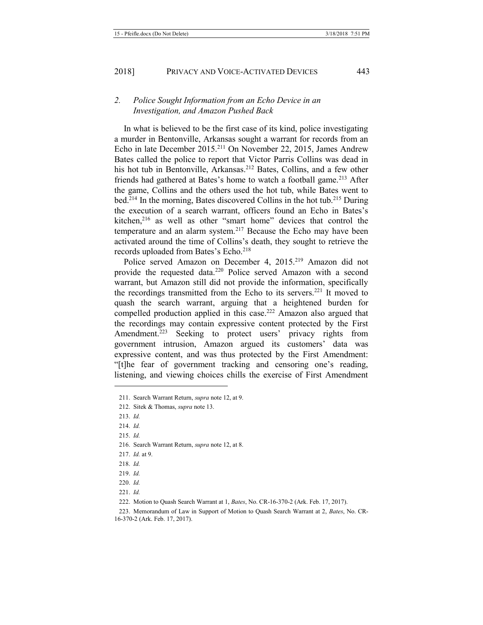#### *2. Police Sought Information from an Echo Device in an Investigation, and Amazon Pushed Back*

In what is believed to be the first case of its kind, police investigating a murder in Bentonville, Arkansas sought a warrant for records from an Echo in late December 2015.<sup>211</sup> On November 22, 2015, James Andrew Bates called the police to report that Victor Parris Collins was dead in his hot tub in Bentonville, Arkansas.<sup>212</sup> Bates, Collins, and a few other friends had gathered at Bates's home to watch a football game.<sup>213</sup> After the game, Collins and the others used the hot tub, while Bates went to bed.<sup>214</sup> In the morning, Bates discovered Collins in the hot tub.<sup>215</sup> During the execution of a search warrant, officers found an Echo in Bates's kitchen, $216$  as well as other "smart home" devices that control the temperature and an alarm system.<sup>217</sup> Because the Echo may have been activated around the time of Collins's death, they sought to retrieve the records uploaded from Bates's Echo.<sup>218</sup>

Police served Amazon on December 4, 2015.<sup>219</sup> Amazon did not provide the requested data.220 Police served Amazon with a second warrant, but Amazon still did not provide the information, specifically the recordings transmitted from the Echo to its servers.<sup>221</sup> It moved to quash the search warrant, arguing that a heightened burden for compelled production applied in this case.<sup>222</sup> Amazon also argued that the recordings may contain expressive content protected by the First Amendment.<sup>223</sup> Seeking to protect users' privacy rights from government intrusion, Amazon argued its customers' data was expressive content, and was thus protected by the First Amendment: "[t]he fear of government tracking and censoring one's reading, listening, and viewing choices chills the exercise of First Amendment

- 220. *Id.*
- 221. *Id.*

<span id="page-23-0"></span><sup>211.</sup> Search Warrant Return, *supra* not[e 12,](#page-2-0) at 9.

<sup>212.</sup> Sitek & Thomas, *supra* not[e 13.](#page-2-2)

<sup>213.</sup> *Id.* 

<sup>214.</sup> *Id.* 

<sup>215.</sup> *Id.* 

<sup>216.</sup> Search Warrant Return, *supra* not[e 12,](#page-2-0) at 8.

<sup>217.</sup> *Id.* at 9.

<sup>218.</sup> *Id.*

<sup>219.</sup> *Id.*

<sup>222.</sup> Motion to Quash Search Warrant at 1, *Bates*, No. CR-16-370-2 (Ark. Feb. 17, 2017).

<sup>223.</sup> Memorandum of Law in Support of Motion to Quash Search Warrant at 2, *Bates*, No. CR-16-370-2 (Ark. Feb. 17, 2017).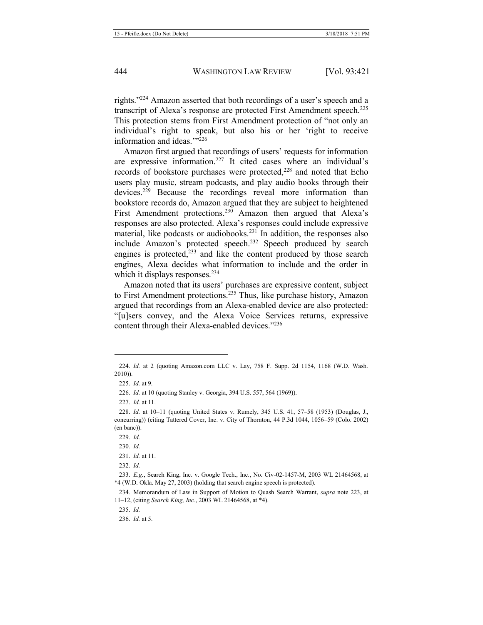rights."<sup>224</sup> Amazon asserted that both recordings of a user's speech and a transcript of Alexa's response are protected First Amendment speech.<sup>225</sup> This protection stems from First Amendment protection of "not only an individual's right to speak, but also his or her 'right to receive information and ideas."<sup>226</sup>

Amazon first argued that recordings of users' requests for information are expressive information.227 It cited cases where an individual's records of bookstore purchases were protected,<sup>228</sup> and noted that Echo users play music, stream podcasts, and play audio books through their devices.<sup>229</sup> Because the recordings reveal more information than bookstore records do, Amazon argued that they are subject to heightened First Amendment protections.<sup>230</sup> Amazon then argued that Alexa's responses are also protected. Alexa's responses could include expressive material, like podcasts or audiobooks.<sup>231</sup> In addition, the responses also include Amazon's protected speech.<sup>232</sup> Speech produced by search engines is protected, $233$  and like the content produced by those search engines, Alexa decides what information to include and the order in which it displays responses.<sup>234</sup>

Amazon noted that its users' purchases are expressive content, subject to First Amendment protections.<sup>235</sup> Thus, like purchase history, Amazon argued that recordings from an Alexa-enabled device are also protected: "[u]sers convey, and the Alexa Voice Services returns, expressive content through their Alexa-enabled devices."<sup>236</sup>

<sup>224.</sup> *Id.* at 2 (quoting Amazon.com LLC v. Lay, 758 F. Supp. 2d 1154, 1168 (W.D. Wash. 2010)).

<sup>225.</sup> *Id.* at 9.

<sup>226.</sup> *Id.* at 10 (quoting Stanley v. Georgia, 394 U.S. 557, 564 (1969)).

<sup>227.</sup> *Id.* at 11.

<sup>228.</sup> *Id.* at 10–11 (quoting United States v. Rumely, 345 U.S. 41, 57–58 (1953) (Douglas, J., concurring)) (citing Tattered Cover, Inc. v. City of Thornton, 44 P.3d 1044, 1056–59 (Colo. 2002) (en banc)).

<sup>229.</sup> *Id.* 

<sup>230.</sup> *Id.* 

<sup>231.</sup> *Id.* at 11.

<sup>232.</sup> *Id.* 

<sup>233.</sup> *E.g.*, Search King, Inc. v. Google Tech., Inc., No. Civ-02-1457-M, 2003 WL 21464568, at \*4 (W.D. Okla. May 27, 2003) (holding that search engine speech is protected).

<sup>234.</sup> Memorandum of Law in Support of Motion to Quash Search Warrant, *supra* note [223,](#page-23-0) at 11–12, (citing *Search King, Inc.*, 2003 WL 21464568, at \*4).

<sup>235.</sup> *Id.* 

<sup>236.</sup> *Id.* at 5.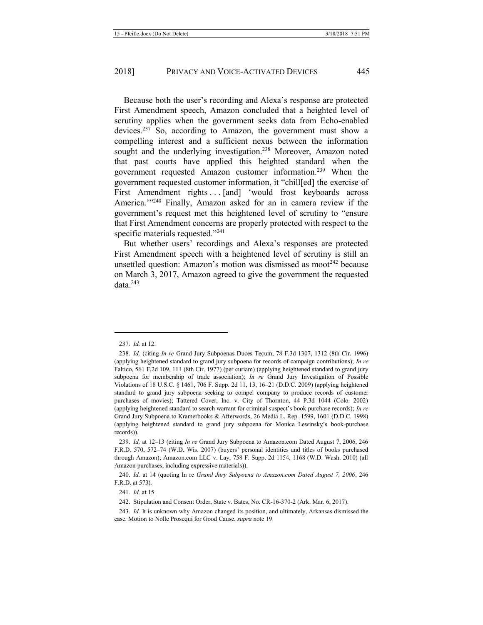Because both the user's recording and Alexa's response are protected First Amendment speech, Amazon concluded that a heighted level of scrutiny applies when the government seeks data from Echo-enabled devices.<sup>237</sup> So, according to Amazon, the government must show a compelling interest and a sufficient nexus between the information sought and the underlying investigation.<sup>238</sup> Moreover, Amazon noted that past courts have applied this heighted standard when the government requested Amazon customer information.<sup>239</sup> When the government requested customer information, it "chill[ed] the exercise of First Amendment rights ... [and] 'would frost keyboards across America."<sup>240</sup> Finally, Amazon asked for an in camera review if the government's request met this heightened level of scrutiny to "ensure that First Amendment concerns are properly protected with respect to the specific materials requested."<sup>241</sup>

But whether users' recordings and Alexa's responses are protected First Amendment speech with a heightened level of scrutiny is still an unsettled question: Amazon's motion was dismissed as moot<sup>242</sup> because on March 3, 2017, Amazon agreed to give the government the requested  $data.^{243}$ 

<sup>237.</sup> *Id.* at 12.

<sup>238.</sup> *Id.* (citing *In re* Grand Jury Subpoenas Duces Tecum, 78 F.3d 1307, 1312 (8th Cir. 1996) (applying heightened standard to grand jury subpoena for records of campaign contributions); *In re* Faltico, 561 F.2d 109, 111 (8th Cir. 1977) (per curiam) (applying heightened standard to grand jury subpoena for membership of trade association); *In re* Grand Jury Investigation of Possible Violations of 18 U.S.C. § 1461, 706 F. Supp. 2d 11, 13, 16–21 (D.D.C. 2009) (applying heightened standard to grand jury subpoena seeking to compel company to produce records of customer purchases of movies); Tattered Cover, Inc. v. City of Thornton, 44 P.3d 1044 (Colo. 2002) (applying heightened standard to search warrant for criminal suspect's book purchase records); *In re* Grand Jury Subpoena to Kramerbooks & Afterwords, 26 Media L. Rep. 1599, 1601 (D.D.C. 1998) (applying heightened standard to grand jury subpoena for Monica Lewinsky's book-purchase records)).

<sup>239.</sup> *Id.* at 12–13 (citing *In re* Grand Jury Subpoena to Amazon.com Dated August 7, 2006, 246 F.R.D. 570, 572–74 (W.D. Wis. 2007) (buyers' personal identities and titles of books purchased through Amazon); Amazon.com LLC v. Lay, 758 F. Supp. 2d 1154, 1168 (W.D. Wash. 2010) (all Amazon purchases, including expressive materials)).

<sup>240.</sup> *Id.* at 14 (quoting In re *Grand Jury Subpoena to Amazon.com Dated August 7, 2006*, 246 F.R.D. at 573).

<sup>241.</sup> *Id.* at 15.

<sup>242.</sup> Stipulation and Consent Order, State v. Bates, No. CR-16-370-2 (Ark. Mar. 6, 2017).

<sup>243.</sup> *Id.* It is unknown why Amazon changed its position, and ultimately, Arkansas dismissed the case. Motion to Nolle Prosequi for Good Cause, *supra* not[e 19.](#page-3-1)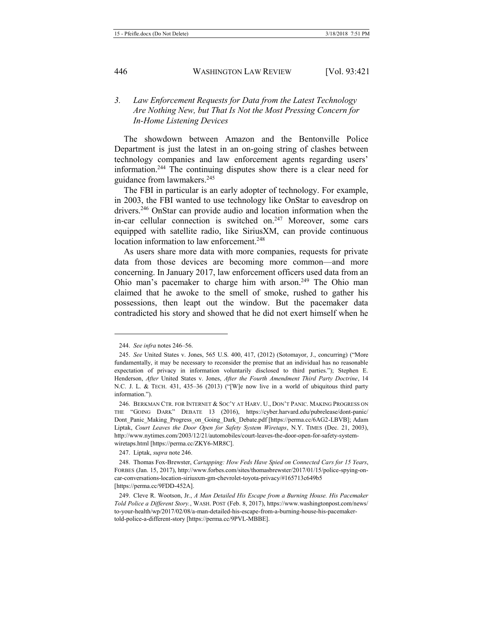#### *3. Law Enforcement Requests for Data from the Latest Technology Are Nothing New, but That Is Not the Most Pressing Concern for In-Home Listening Devices*

The showdown between Amazon and the Bentonville Police Department is just the latest in an on-going string of clashes between technology companies and law enforcement agents regarding users' information.244 The continuing disputes show there is a clear need for guidance from lawmakers.245

<span id="page-26-0"></span>The FBI in particular is an early adopter of technology. For example, in 2003, the FBI wanted to use technology like OnStar to eavesdrop on drivers.246 OnStar can provide audio and location information when the in-car cellular connection is switched on. $247$  Moreover, some cars equipped with satellite radio, like SiriusXM, can provide continuous location information to law enforcement.<sup>248</sup>

As users share more data with more companies, requests for private data from those devices are becoming more common—and more concerning. In January 2017, law enforcement officers used data from an Ohio man's pacemaker to charge him with arson.<sup>249</sup> The Ohio man claimed that he awoke to the smell of smoke, rushed to gather his possessions, then leapt out the window. But the pacemaker data contradicted his story and showed that he did not exert himself when he

<sup>244.</sup> *See infra* note[s 246](#page-26-0)–56.

<sup>245.</sup> *See* United States v. Jones, 565 U.S. 400, 417, (2012) (Sotomayor, J., concurring) ("More fundamentally, it may be necessary to reconsider the premise that an individual has no reasonable expectation of privacy in information voluntarily disclosed to third parties."); Stephen E. Henderson, *After* United States v. Jones, *After the Fourth Amendment Third Party Doctrine*, 14 N.C. J. L. & TECH. 431, 435–36 (2013) ("[W]e now live in a world of ubiquitous third party information.").

<sup>246.</sup> BERKMAN CTR. FOR INTERNET & SOC'Y AT HARV. U., DON'T PANIC. MAKING PROGRESS ON THE "GOING DARK" DEBATE 13 (2016), https://cyber.harvard.edu/pubrelease/dont-panic/ Dont Panic Making Progress on Going Dark Debate.pdf [https://perma.cc/6AG2-LBVB]; Adam Liptak, *Court Leaves the Door Open for Safety System Wiretaps*, N.Y. TIMES (Dec. 21, 2003), http://www.nytimes.com/2003/12/21/automobiles/court-leaves-the-door-open-for-safety-systemwiretaps.html [https://perma.cc/ZKY6-MR8C].

<sup>247.</sup> Liptak, *supra* not[e 246.](#page-26-0)

<sup>248.</sup> Thomas Fox-Brewster, *Cartapping: How Feds Have Spied on Connected Cars for 15 Years*, FORBES (Jan. 15, 2017), http://www.forbes.com/sites/thomasbrewster/2017/01/15/police-spying-oncar-conversations-location-siriusxm-gm-chevrolet-toyota-privacy/#165713c649b5 [https://perma.cc/9FDD-452A].

<sup>249.</sup> Cleve R. Wootson, Jr., *A Man Detailed His Escape from a Burning House. His Pacemaker Told Police a Different Story.*, WASH. POST (Feb. 8, 2017), https://www.washingtonpost.com/news/ to-your-health/wp/2017/02/08/a-man-detailed-his-escape-from-a-burning-house-his-pacemakertold-police-a-different-story [https://perma.cc/9PVL-MBBE].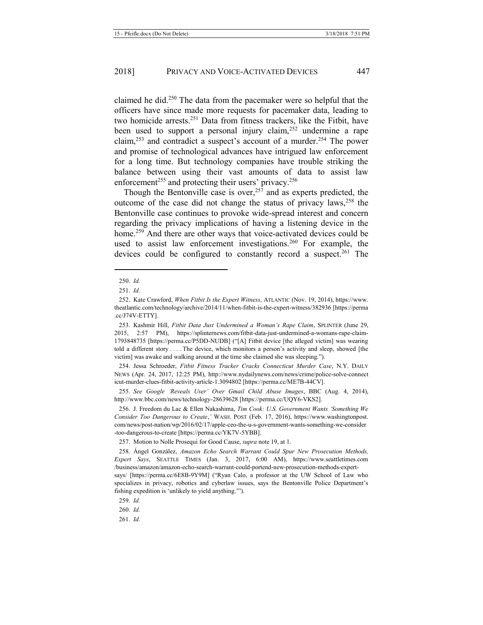claimed he did.250 The data from the pacemaker were so helpful that the officers have since made more requests for pacemaker data, leading to two homicide arrests.<sup>251</sup> Data from fitness trackers, like the Fitbit, have been used to support a personal injury claim,252 undermine a rape claim,253 and contradict a suspect's account of a murder.<sup>254</sup> The power and promise of technological advances have intrigued law enforcement for a long time. But technology companies have trouble striking the balance between using their vast amounts of data to assist law enforcement<sup>255</sup> and protecting their users' privacy.<sup>256</sup>

<span id="page-27-2"></span><span id="page-27-1"></span><span id="page-27-0"></span>Though the Bentonville case is over,  $257$  and as experts predicted, the outcome of the case did not change the status of privacy laws,  $258$  the Bentonville case continues to provoke wide-spread interest and concern regarding the privacy implications of having a listening device in the home.<sup>259</sup> And there are other ways that voice-activated devices could be used to assist law enforcement investigations.<sup>260</sup> For example, the devices could be configured to constantly record a suspect.<sup>261</sup> The

<u>.</u>

254. Jessa Schroeder, *Fitbit Fitness Tracker Cracks Connecticut Murder Case*, N.Y. DAILY NEWS (Apr. 24, 2017, 12:25 PM), http://www.nydailynews.com/news/crime/police-solve-connect icut-murder-clues-fitbit-activity-article-1.3094802 [https://perma.cc/ME7B-44CV].

255. *See Google 'Reveals User' Over Gmail Child Abuse Images*, BBC (Aug. 4, 2014), http://www.bbc.com/news/technology-28639628 [https://perma.cc/UQY6-VKS2].

256. J. Freedom du Lac & Ellen Nakashima, *Tim Cook: U.S. Government Wants 'Something We Consider Too Dangerous to Create*,*'* WASH. POST (Feb. 17, 2016), https://www.washingtonpost. com/news/post-nation/wp/2016/02/17/apple-ceo-the-u-s-government-wants-something-we-consider -too-dangerous-to-create [https://perma.cc/YK7V-5YBB].

257. Motion to Nolle Prosequi for Good Cause, *supra* not[e 19,](#page-3-1) at 1.

258. Ángel González, *Amazon Echo Search Warrant Could Spur New Prosecution Methods, Expert Says*, SEATTLE TIMES (Jan. 3, 2017, 6:00 AM), https://www.seattletimes.com /business/amazon/amazon-echo-search-warrant-could-portend-new-prosecution-methods-expert-

says/ [https://perma.cc/6E8B-9Y9M] ("Ryan Calo, a professor at the UW School of Law who specializes in privacy, robotics and cyberlaw issues, says the Bentonville Police Department's fishing expedition is 'unlikely to yield anything.'").

259. *Id.*

260. *Id.*

261. *Id.* 

<sup>250.</sup> *Id.* 

<sup>251.</sup> *Id.*

<sup>252.</sup> Kate Crawford, *When Fitbit Is the Expert Witness*, ATLANTIC (Nov. 19, 2014), https://www. theatlantic.com/technology/archive/2014/11/when-fitbit-is-the-expert-witness/382936 [https://perma .cc/J74V-ETTY].

<sup>253.</sup> Kashmir Hill, *Fitbit Data Just Undermined a Woman's Rape Claim*, SPLINTER (June 29, 2015, 2:57 PM), https://splinternews.com/fitbit-data-just-undermined-a-womans-rape-claim-1793848735 [https://perma.cc/P5DD-NUDB] ("[A] Fitbit device [the alleged victim] was wearing told a different story . . . . The device, which monitors a person's activity and sleep, showed [the victim] was awake and walking around at the time she claimed she was sleeping.").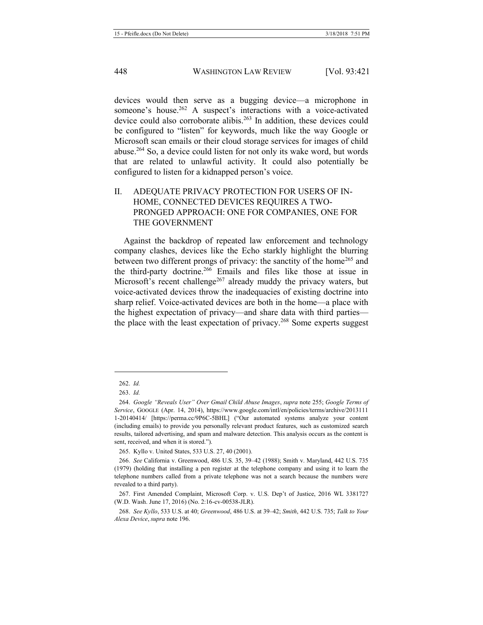devices would then serve as a bugging device—a microphone in someone's house.<sup>262</sup> A suspect's interactions with a voice-activated device could also corroborate alibis.<sup>263</sup> In addition, these devices could be configured to "listen" for keywords, much like the way Google or Microsoft scan emails or their cloud storage services for images of child abuse.264 So, a device could listen for not only its wake word, but words that are related to unlawful activity. It could also potentially be configured to listen for a kidnapped person's voice.

#### II. ADEQUATE PRIVACY PROTECTION FOR USERS OF IN-HOME, CONNECTED DEVICES REQUIRES A TWO-PRONGED APPROACH: ONE FOR COMPANIES, ONE FOR THE GOVERNMENT

Against the backdrop of repeated law enforcement and technology company clashes, devices like the Echo starkly highlight the blurring between two different prongs of privacy: the sanctity of the home<sup>265</sup> and the third-party doctrine.266 Emails and files like those at issue in Microsoft's recent challenge<sup>267</sup> already muddy the privacy waters, but voice-activated devices throw the inadequacies of existing doctrine into sharp relief. Voice-activated devices are both in the home—a place with the highest expectation of privacy—and share data with third parties the place with the least expectation of privacy.<sup>268</sup> Some experts suggest

<sup>262.</sup> *Id.*

<sup>263.</sup> *Id.*

<sup>264.</sup> *Google "Reveals User" Over Gmail Child Abuse Images*, *supra* not[e 255;](#page-27-0) *Google Terms of Service*, GOOGLE (Apr. 14, 2014), https://www.google.com/intl/en/policies/terms/archive/2013111 1-20140414/ [https://perma.cc/9P6C-5BHL] ("Our automated systems analyze your content (including emails) to provide you personally relevant product features, such as customized search results, tailored advertising, and spam and malware detection. This analysis occurs as the content is sent, received, and when it is stored.").

<sup>265.</sup> Kyllo v. United States, 533 U.S. 27, 40 (2001).

<sup>266.</sup> *See* California v. Greenwood, 486 U.S. 35, 39–42 (1988); Smith v. Maryland, 442 U.S. 735 (1979) (holding that installing a pen register at the telephone company and using it to learn the telephone numbers called from a private telephone was not a search because the numbers were revealed to a third party).

<sup>267.</sup> First Amended Complaint, Microsoft Corp. v. U.S. Dep't of Justice, 2016 WL 3381727 (W.D. Wash. June 17, 2016) (No. 2:16-cv-00538-JLR).

<sup>268.</sup> *See Kyllo*, 533 U.S. at 40; *Greenwood*, 486 U.S. at 39–42; *Smith*, 442 U.S. 735; *Talk to Your Alexa Device*, *supra* not[e 196.](#page-21-2)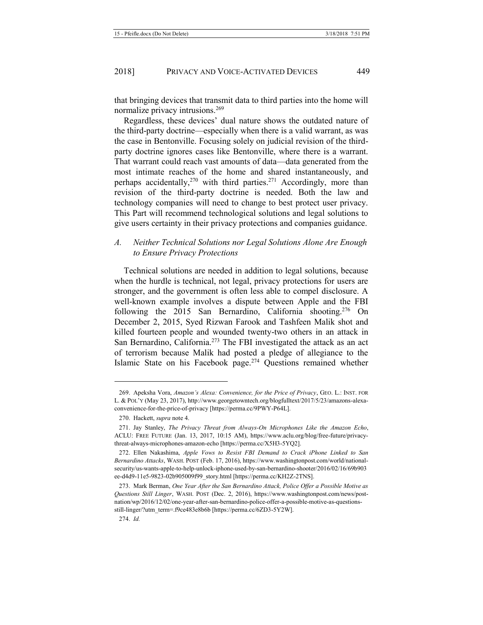that bringing devices that transmit data to third parties into the home will normalize privacy intrusions.<sup>269</sup>

<span id="page-29-1"></span>Regardless, these devices' dual nature shows the outdated nature of the third-party doctrine—especially when there is a valid warrant, as was the case in Bentonville. Focusing solely on judicial revision of the thirdparty doctrine ignores cases like Bentonville, where there is a warrant. That warrant could reach vast amounts of data—data generated from the most intimate reaches of the home and shared instantaneously, and perhaps accidentally,<sup>270</sup> with third parties.<sup>271</sup> Accordingly, more than revision of the third-party doctrine is needed. Both the law and technology companies will need to change to best protect user privacy. This Part will recommend technological solutions and legal solutions to give users certainty in their privacy protections and companies guidance.

#### *A. Neither Technical Solutions nor Legal Solutions Alone Are Enough to Ensure Privacy Protections*

<span id="page-29-0"></span>Technical solutions are needed in addition to legal solutions, because when the hurdle is technical, not legal, privacy protections for users are stronger, and the government is often less able to compel disclosure. A well-known example involves a dispute between Apple and the FBI following the 2015 San Bernardino, California shooting.<sup>276</sup> On December 2, 2015, Syed Rizwan Farook and Tashfeen Malik shot and killed fourteen people and wounded twenty-two others in an attack in San Bernardino, California.<sup>273</sup> The FBI investigated the attack as an act of terrorism because Malik had posted a pledge of allegiance to the Islamic State on his Facebook page.<sup>274</sup> Ouestions remained whether

<sup>269.</sup> Apeksha Vora, *Amazon's Alexa: Convenience, for the Price of Privacy*, GEO. L.: INST. FOR L. & POL'Y (May 23, 2017), http://www.georgetowntech.org/blogfulltext/2017/5/23/amazons-alexaconvenience-for-the-price-of-privacy [https://perma.cc/9PWY-P64L].

<sup>270.</sup> Hackett, *supra* not[e 4.](#page-1-1)

<sup>271.</sup> Jay Stanley, *The Privacy Threat from Always-On Microphones Like the Amazon Echo*, ACLU: FREE FUTURE (Jan. 13, 2017, 10:15 AM), https://www.aclu.org/blog/free-future/privacythreat-always-microphones-amazon-echo [https://perma.cc/X5H3-5YQ2].

<sup>272.</sup> Ellen Nakashima, *Apple Vows to Resist FBI Demand to Crack iPhone Linked to San Bernardino Attacks*, WASH. POST (Feb. 17, 2016), https://www.washingtonpost.com/world/nationalsecurity/us-wants-apple-to-help-unlock-iphone-used-by-san-bernardino-shooter/2016/02/16/69b903 ee-d4d9-11e5-9823-02b905009f99\_story.html [https://perma.cc/KH2Z-2TNS].

<sup>273.</sup> Mark Berman, *One Year After the San Bernardino Attack, Police Offer a Possible Motive as Questions Still Linger*, WASH. POST (Dec. 2, 2016), https://www.washingtonpost.com/news/postnation/wp/2016/12/02/one-year-after-san-bernardino-police-offer-a-possible-motive-as-questionsstill-linger/?utm\_term=.f9ce483e8b6b [https://perma.cc/6ZD3-5Y2W].

<sup>274.</sup> *Id.*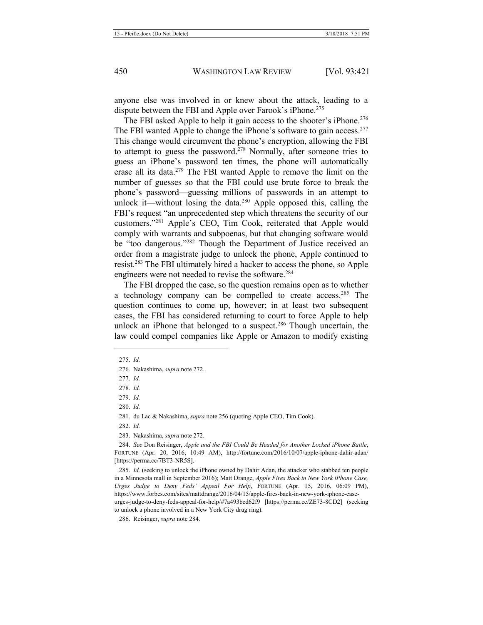anyone else was involved in or knew about the attack, leading to a dispute between the FBI and Apple over Farook's iPhone.<sup>275</sup>

The FBI asked Apple to help it gain access to the shooter's iPhone.<sup>276</sup> The FBI wanted Apple to change the iPhone's software to gain access.<sup>277</sup> This change would circumvent the phone's encryption, allowing the FBI to attempt to guess the password.<sup>278</sup> Normally, after someone tries to guess an iPhone's password ten times, the phone will automatically erase all its data.<sup>279</sup> The FBI wanted Apple to remove the limit on the number of guesses so that the FBI could use brute force to break the phone's password—guessing millions of passwords in an attempt to unlock it—without losing the data. $280$  Apple opposed this, calling the FBI's request "an unprecedented step which threatens the security of our customers."<sup>281</sup> Apple's CEO, Tim Cook, reiterated that Apple would comply with warrants and subpoenas, but that changing software would be "too dangerous."<sup>282</sup> Though the Department of Justice received an order from a magistrate judge to unlock the phone, Apple continued to resist.283 The FBI ultimately hired a hacker to access the phone, so Apple engineers were not needed to revise the software.<sup>284</sup>

<span id="page-30-0"></span>The FBI dropped the case, so the question remains open as to whether a technology company can be compelled to create access.<sup>285</sup> The question continues to come up, however; in at least two subsequent cases, the FBI has considered returning to court to force Apple to help unlock an iPhone that belonged to a suspect.<sup>286</sup> Though uncertain, the law could compel companies like Apple or Amazon to modify existing

-

277. *Id.*

278. *Id.*

279. *Id.*

<sup>275.</sup> *Id.*

<sup>276.</sup> Nakashima, *supra* not[e 272.](#page-29-0)

<sup>280.</sup> *Id.*

<sup>281.</sup> du Lac & Nakashima, *supra* not[e 256](#page-27-1) (quoting Apple CEO, Tim Cook).

<sup>282.</sup> *Id.*

<sup>283.</sup> Nakashima, *supra* not[e 272.](#page-29-0) 

<sup>284.</sup> *See* Don Reisinger, *Apple and the FBI Could Be Headed for Another Locked iPhone Battle*, FORTUNE (Apr. 20, 2016, 10:49 AM), http://fortune.com/2016/10/07/apple-iphone-dahir-adan/ [https://perma.cc/7BT3-NR5S].

<sup>285.</sup> *Id.* (seeking to unlock the iPhone owned by Dahir Adan, the attacker who stabbed ten people in a Minnesota mall in September 2016); Matt Drange, *Apple Fires Back in New York iPhone Case, Urges Judge to Deny Feds' Appeal For Help*, FORTUNE (Apr. 15, 2016, 06:09 PM), https://www.forbes.com/sites/mattdrange/2016/04/15/apple-fires-back-in-new-york-iphone-caseurges-judge-to-deny-feds-appeal-for-help/#7a493bcd62f9 [https://perma.cc/ZE73-8CD2] (seeking to unlock a phone involved in a New York City drug ring).

<sup>286.</sup> Reisinger, *supra* not[e 284.](#page-30-0)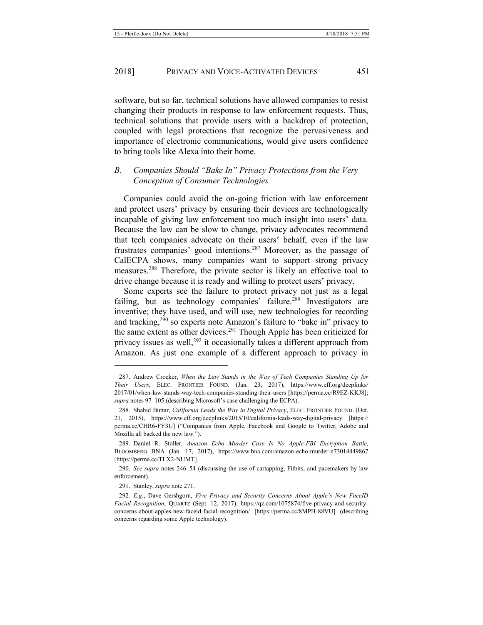software, but so far, technical solutions have allowed companies to resist changing their products in response to law enforcement requests. Thus, technical solutions that provide users with a backdrop of protection, coupled with legal protections that recognize the pervasiveness and importance of electronic communications, would give users confidence to bring tools like Alexa into their home.

#### *B. Companies Should "Bake In" Privacy Protections from the Very Conception of Consumer Technologies*

Companies could avoid the on-going friction with law enforcement and protect users' privacy by ensuring their devices are technologically incapable of giving law enforcement too much insight into users' data. Because the law can be slow to change, privacy advocates recommend that tech companies advocate on their users' behalf, even if the law frustrates companies' good intentions.<sup>287</sup> Moreover, as the passage of CalECPA shows, many companies want to support strong privacy measures.288 Therefore, the private sector is likely an effective tool to drive change because it is ready and willing to protect users' privacy.

<span id="page-31-1"></span><span id="page-31-0"></span>Some experts see the failure to protect privacy not just as a legal failing, but as technology companies' failure.<sup>289</sup> Investigators are inventive; they have used, and will use, new technologies for recording and tracking,290 so experts note Amazon's failure to "bake in" privacy to the same extent as other devices.<sup>291</sup> Though Apple has been criticized for privacy issues as well,<sup>292</sup> it occasionally takes a different approach from Amazon. As just one example of a different approach to privacy in

290. *See supra* notes [246](#page-26-0)–54 (discussing the use of cartapping, Fitbits, and pacemakers by law enforcement).

291. Stanley, *supra* not[e 271.](#page-29-1) 

<sup>287.</sup> Andrew Crocker, *When the Law Stands in the Way of Tech Companies Standing Up for Their Users*, ELEC. FRONTIER FOUND. (Jan. 23, 2017), https://www.eff.org/deeplinks/ 2017/01/when-law-stands-way-tech-companies-standing-their-users [https://perma.cc/R9EZ-KKJ8]; *supra* notes [97](#page-11-1)–[105](#page-12-0) (describing Microsoft's case challenging the ECPA).

<sup>288.</sup> Shahid Buttar, *California Leads the Way in Digital Privacy*, ELEC. FRONTIER FOUND. (Oct. 21, 2015), https://www.eff.org/deeplinks/2015/10/california-leads-way-digital-privacy [https:// perma.cc/CHR6-FY3U] ("Companies from Apple, Facebook and Google to Twitter, Adobe and Mozilla all backed the new law.").

<sup>289.</sup> Daniel R. Stoller, *Amazon Echo Murder Case Is No Apple-FBI Encryption Battle*, BLOOMBERG BNA (Jan. 17, 2017), https://www.bna.com/amazon-echo-murder-n73014449867 [https://perma.cc/TLX2-NUMT].

<sup>292.</sup> *E.g.*, Dave Gershgorn, *Five Privacy and Security Concerns About Apple's New FaceID Facial Recognition*, QUARTZ (Sept. 12, 2017), https://qz.com/1075874/five-privacy-and-securityconcerns-about-apples-new-faceid-facial-recognition/ [https://perma.cc/8MPH-88VU] (describing concerns regarding some Apple technology).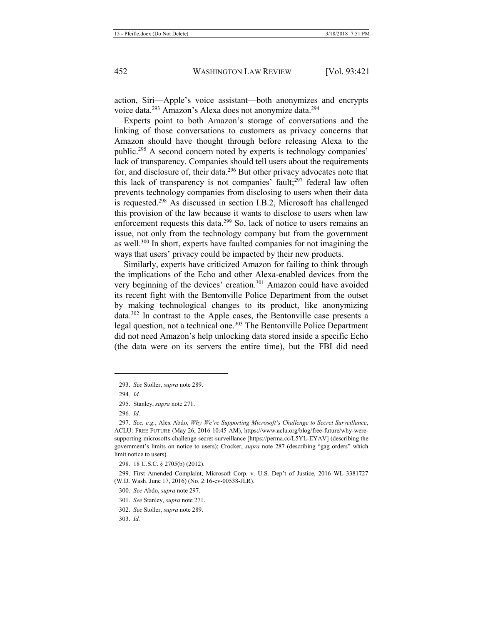action, Siri—Apple's voice assistant—both anonymizes and encrypts voice data.293 Amazon's Alexa does not anonymize data.<sup>294</sup>

<span id="page-32-0"></span>Experts point to both Amazon's storage of conversations and the linking of those conversations to customers as privacy concerns that Amazon should have thought through before releasing Alexa to the public.295 A second concern noted by experts is technology companies' lack of transparency. Companies should tell users about the requirements for, and disclosure of, their data.296 But other privacy advocates note that this lack of transparency is not companies' fault; $297$  federal law often prevents technology companies from disclosing to users when their data is requested.298 As discussed in section I.B.2, Microsoft has challenged this provision of the law because it wants to disclose to users when law enforcement requests this data.<sup>299</sup> So, lack of notice to users remains an issue, not only from the technology company but from the government as well.300 In short, experts have faulted companies for not imagining the ways that users' privacy could be impacted by their new products.

Similarly, experts have criticized Amazon for failing to think through the implications of the Echo and other Alexa-enabled devices from the very beginning of the devices' creation.<sup>301</sup> Amazon could have avoided its recent fight with the Bentonville Police Department from the outset by making technological changes to its product, like anonymizing data.302 In contrast to the Apple cases, the Bentonville case presents a legal question, not a technical one.<sup>303</sup> The Bentonville Police Department did not need Amazon's help unlocking data stored inside a specific Echo (the data were on its servers the entire time), but the FBI did need

<sup>293.</sup> *See* Stoller, *supra* not[e 289.](#page-31-0)

<sup>294.</sup> *Id.*

<sup>295.</sup> Stanley, *supra* not[e 271.](#page-29-1)

<sup>296.</sup> *Id.*

<sup>297.</sup> *See, e.g.*, Alex Abdo, *Why We're Supporting Microsoft's Challenge to Secret Surveillance*, ACLU: FREE FUTURE (May 26, 2016 10:45 AM), https://www.aclu.org/blog/free-future/why-weresupporting-microsofts-challenge-secret-surveillance [https://perma.cc/L5YL-EYAV] (describing the government's limits on notice to users); Crocker, *supra* note [287](#page-31-1) (describing "gag orders" which limit notice to users).

<sup>298.</sup> 18 U.S.C. § 2705(b) (2012).

<sup>299.</sup> First Amended Complaint, Microsoft Corp. v. U.S. Dep't of Justice, 2016 WL 3381727 (W.D. Wash. June 17, 2016) (No. 2:16-cv-00538-JLR).

<sup>300.</sup> *See* Abdo, *supra* not[e 297.](#page-32-0)

<sup>301.</sup> *See* Stanley, *supra* not[e 271.](#page-29-1)

<sup>302.</sup> *See* Stoller, *supra* not[e 289.](#page-31-0)

<sup>303.</sup> *Id.*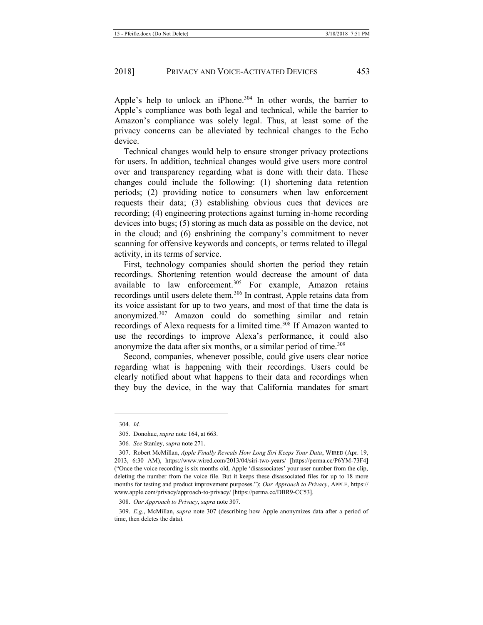Apple's help to unlock an iPhone.<sup>304</sup> In other words, the barrier to Apple's compliance was both legal and technical, while the barrier to Amazon's compliance was solely legal. Thus, at least some of the privacy concerns can be alleviated by technical changes to the Echo device.

Technical changes would help to ensure stronger privacy protections for users. In addition, technical changes would give users more control over and transparency regarding what is done with their data. These changes could include the following: (1) shortening data retention periods; (2) providing notice to consumers when law enforcement requests their data; (3) establishing obvious cues that devices are recording; (4) engineering protections against turning in-home recording devices into bugs; (5) storing as much data as possible on the device, not in the cloud; and (6) enshrining the company's commitment to never scanning for offensive keywords and concepts, or terms related to illegal activity, in its terms of service.

First, technology companies should shorten the period they retain recordings. Shortening retention would decrease the amount of data available to law enforcement.<sup>305</sup> For example, Amazon retains recordings until users delete them.<sup>306</sup> In contrast, Apple retains data from its voice assistant for up to two years, and most of that time the data is anonymized.307 Amazon could do something similar and retain recordings of Alexa requests for a limited time.<sup>308</sup> If Amazon wanted to use the recordings to improve Alexa's performance, it could also anonymize the data after six months, or a similar period of time.<sup>309</sup>

<span id="page-33-0"></span>Second, companies, whenever possible, could give users clear notice regarding what is happening with their recordings. Users could be clearly notified about what happens to their data and recordings when they buy the device, in the way that California mandates for smart

<u>.</u>

308. *Our Approach to Privacy*, *supra* not[e 307.](#page-33-0)

<sup>304.</sup> *Id.*

<sup>305.</sup> Donohue, *supra* not[e 164,](#page-18-1) at 663.

<sup>306</sup>*. See* Stanley, *supra* not[e 271.](#page-29-1)

<sup>307.</sup> Robert McMillan, *Apple Finally Reveals How Long Siri Keeps Your Data*, WIRED (Apr. 19, 2013, 6:30 AM), https://www.wired.com/2013/04/siri-two-years/ [https://perma.cc/P6YM-73F4] ("Once the voice recording is six months old, Apple 'disassociates' your user number from the clip, deleting the number from the voice file. But it keeps these disassociated files for up to 18 more months for testing and product improvement purposes."); *Our Approach to Privacy*, APPLE, https:// www.apple.com/privacy/approach-to-privacy/ [https://perma.cc/DBR9-CC53].

<sup>309.</sup> *E.g.*, McMillan, *supra* note [307](#page-33-0) (describing how Apple anonymizes data after a period of time, then deletes the data).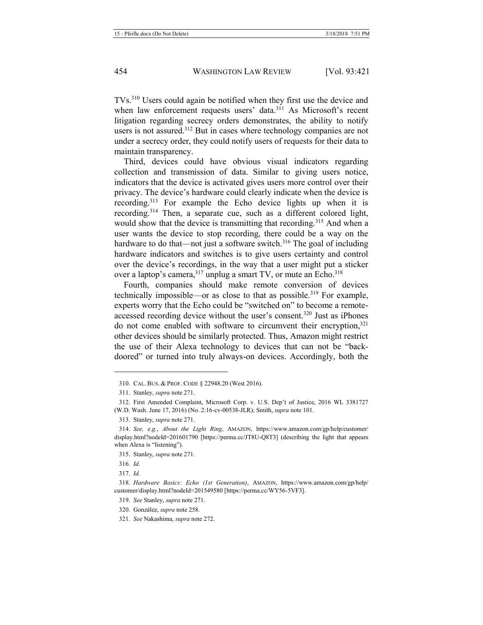TVs.310 Users could again be notified when they first use the device and when law enforcement requests users' data.<sup>311</sup> As Microsoft's recent litigation regarding secrecy orders demonstrates, the ability to notify users is not assured.312 But in cases where technology companies are not under a secrecy order, they could notify users of requests for their data to maintain transparency.

Third, devices could have obvious visual indicators regarding collection and transmission of data. Similar to giving users notice, indicators that the device is activated gives users more control over their privacy. The device's hardware could clearly indicate when the device is recording.313 For example the Echo device lights up when it is recording.314 Then, a separate cue, such as a different colored light, would show that the device is transmitting that recording.<sup>315</sup> And when a user wants the device to stop recording, there could be a way on the hardware to do that—not just a software switch. $316$  The goal of including hardware indicators and switches is to give users certainty and control over the device's recordings, in the way that a user might put a sticker over a laptop's camera,<sup>317</sup> unplug a smart TV, or mute an Echo.<sup>318</sup>

Fourth, companies should make remote conversion of devices technically impossible—or as close to that as possible.<sup>319</sup> For example, experts worry that the Echo could be "switched on" to become a remoteaccessed recording device without the user's consent.<sup>320</sup> Just as iPhones do not come enabled with software to circumvent their encryption, $321$ other devices should be similarly protected. Thus, Amazon might restrict the use of their Alexa technology to devices that can not be "backdoored" or turned into truly always-on devices. Accordingly, both the

<sup>310.</sup> CAL. BUS. & PROF. CODE § 22948.20 (West 2016).

<sup>311.</sup> Stanley, *supra* not[e 271.](#page-29-1) 

<sup>312.</sup> First Amended Complaint, Microsoft Corp. v. U.S. Dep't of Justice, 2016 WL 3381727 (W.D. Wash. June 17, 2016) (No. 2:16-cv-00538-JLR); Smith, *supra* not[e 101.](#page-12-1)

<sup>313.</sup> Stanley, *supra* not[e 271.](#page-29-1) 

<sup>314.</sup> *See, e.g.*, *About the Light Ring*, AMAZON, https://www.amazon.com/gp/help/customer/ display.html?nodeId=201601790 [https://perma.cc/JT8U-Q8T3] (describing the light that appears when Alexa is "listening").

<sup>315.</sup> Stanley, *supra* not[e 271.](#page-29-1) 

<sup>316.</sup> *Id.*

<sup>317.</sup> *Id.*

<sup>318.</sup> *Hardware Basics: Echo (1st Generation)*, AMAZON, https://www.amazon.com/gp/help/ customer/display.html?nodeId=201549580 [https://perma.cc/WY56-5VF3].

<sup>319.</sup> *See* Stanley, *supra* not[e 271.](#page-29-1)

<sup>320.</sup> González, *supra* not[e 258.](#page-27-2)

<sup>321.</sup> *See* Nakashima, *supra* not[e 272.](#page-29-0)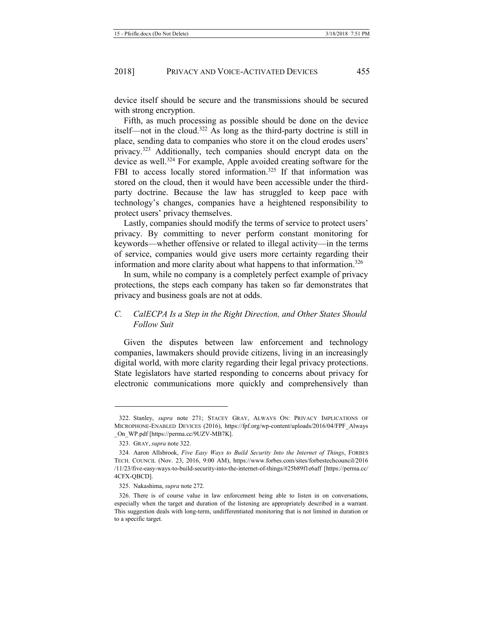device itself should be secure and the transmissions should be secured with strong encryption.

<span id="page-35-0"></span>Fifth, as much processing as possible should be done on the device itself—not in the cloud.322 As long as the third-party doctrine is still in place, sending data to companies who store it on the cloud erodes users' privacy.323 Additionally, tech companies should encrypt data on the device as well.<sup>324</sup> For example, Apple avoided creating software for the FBI to access locally stored information.<sup>325</sup> If that information was stored on the cloud, then it would have been accessible under the thirdparty doctrine. Because the law has struggled to keep pace with technology's changes, companies have a heightened responsibility to protect users' privacy themselves.

Lastly, companies should modify the terms of service to protect users' privacy. By committing to never perform constant monitoring for keywords—whether offensive or related to illegal activity—in the terms of service, companies would give users more certainty regarding their information and more clarity about what happens to that information.<sup>326</sup>

In sum, while no company is a completely perfect example of privacy protections, the steps each company has taken so far demonstrates that privacy and business goals are not at odds.

#### *C. CalECPA Is a Step in the Right Direction, and Other States Should Follow Suit*

Given the disputes between law enforcement and technology companies, lawmakers should provide citizens, living in an increasingly digital world, with more clarity regarding their legal privacy protections. State legislators have started responding to concerns about privacy for electronic communications more quickly and comprehensively than

<sup>322.</sup> Stanley, *supra* note [271;](#page-29-1) STACEY GRAY, ALWAYS ON: PRIVACY IMPLICATIONS OF MICROPHONE-ENABLED DEVICES (2016), https://fpf.org/wp-content/uploads/2016/04/FPF\_Always \_On\_WP.pdf [https://perma.cc/9UZV-MB7K].

<sup>323.</sup> GRAY, *supra* not[e 322.](#page-35-0)

<sup>324.</sup> Aaron Allsbrook, *Five Easy Ways to Build Security Into the Internet of Things*, FORBES TECH. COUNCIL (Nov. 23, 2016, 9:00 AM), https://www.forbes.com/sites/forbestechcouncil/2016 /11/23/five-easy-ways-to-build-security-into-the-internet-of-things/#25b89f1e6aff [https://perma.cc/ 4CFX-QBCD].

<sup>325.</sup> Nakashima, *supra* not[e 272.](#page-29-0)

<sup>326.</sup> There is of course value in law enforcement being able to listen in on conversations, especially when the target and duration of the listening are appropriately described in a warrant. This suggestion deals with long-term, undifferentiated monitoring that is not limited in duration or to a specific target.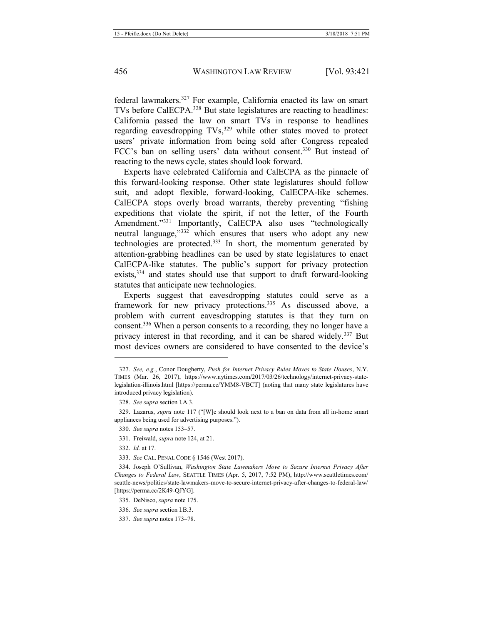federal lawmakers.327 For example, California enacted its law on smart TVs before CalECPA.328 But state legislatures are reacting to headlines: California passed the law on smart TVs in response to headlines regarding eavesdropping TVs,<sup>329</sup> while other states moved to protect users' private information from being sold after Congress repealed FCC's ban on selling users' data without consent.<sup>330</sup> But instead of reacting to the news cycle, states should look forward.

Experts have celebrated California and CalECPA as the pinnacle of this forward-looking response. Other state legislatures should follow suit, and adopt flexible, forward-looking, CalECPA-like schemes. CalECPA stops overly broad warrants, thereby preventing "fishing expeditions that violate the spirit, if not the letter, of the Fourth Amendment."<sup>331</sup> Importantly, CalECPA also uses "technologically neutral language,"<sup>332</sup> which ensures that users who adopt any new technologies are protected.<sup>333</sup> In short, the momentum generated by attention-grabbing headlines can be used by state legislatures to enact CalECPA-like statutes. The public's support for privacy protection exists,<sup>334</sup> and states should use that support to draft forward-looking statutes that anticipate new technologies.

Experts suggest that eavesdropping statutes could serve as a framework for new privacy protections.<sup>335</sup> As discussed above, a problem with current eavesdropping statutes is that they turn on consent.336 When a person consents to a recording, they no longer have a privacy interest in that recording, and it can be shared widely.337 But most devices owners are considered to have consented to the device's

<sup>327.</sup> *See, e.g.*, Conor Dougherty, *Push for Internet Privacy Rules Moves to State Houses*, N.Y. TIMES (Mar. 26, 2017), https://www.nytimes.com/2017/03/26/technology/internet-privacy-statelegislation-illinois.html [https://perma.cc/YMM8-VBCT] (noting that many state legislatures have introduced privacy legislation).

<sup>328.</sup> *See supra* section I.A.3.

<sup>329.</sup> Lazarus, *supra* note [117](#page-14-1) ("[W]e should look next to a ban on data from all in-home smart appliances being used for advertising purposes.").

<sup>330.</sup> *See supra* note[s 153](#page-17-1)–57.

<sup>331.</sup> Freiwald, *supra* not[e 124,](#page-14-0) at 21.

<sup>332.</sup> *Id.* at 17.

<sup>333.</sup> *See* CAL. PENAL CODE § 1546 (West 2017).

<sup>334.</sup> Joseph O'Sullivan, *Washington State Lawmakers Move to Secure Internet Privacy After Changes to Federal Law*, SEATTLE TIMES (Apr. 5, 2017, 7:52 PM), http://www.seattletimes.com/ seattle-news/politics/state-lawmakers-move-to-secure-internet-privacy-after-changes-to-federal-law/ [https://perma.cc/2K49-QJYG].

<sup>335.</sup> DeNisco, *supra* not[e 175.](#page-19-0)

<sup>336.</sup> *See supra* section I.B.3.

<sup>337.</sup> *See supra* note[s 173](#page-19-1)–78.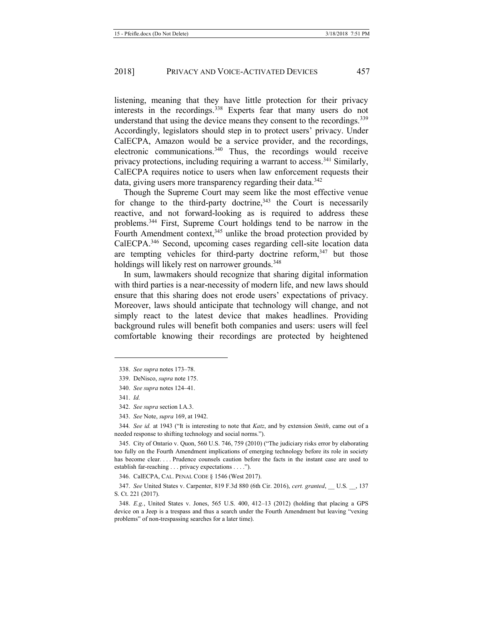listening, meaning that they have little protection for their privacy interests in the recordings.338 Experts fear that many users do not understand that using the device means they consent to the recordings.<sup>339</sup> Accordingly, legislators should step in to protect users' privacy. Under CalECPA, Amazon would be a service provider, and the recordings, electronic communications.340 Thus, the recordings would receive privacy protections, including requiring a warrant to access.<sup>341</sup> Similarly, CalECPA requires notice to users when law enforcement requests their data, giving users more transparency regarding their data.<sup>342</sup>

Though the Supreme Court may seem like the most effective venue for change to the third-party doctrine,  $343$  the Court is necessarily reactive, and not forward-looking as is required to address these problems.344 First, Supreme Court holdings tend to be narrow in the Fourth Amendment context, $345$  unlike the broad protection provided by CalECPA.346 Second, upcoming cases regarding cell-site location data are tempting vehicles for third-party doctrine reform, $347$  but those holdings will likely rest on narrower grounds.<sup>348</sup>

In sum, lawmakers should recognize that sharing digital information with third parties is a near-necessity of modern life, and new laws should ensure that this sharing does not erode users' expectations of privacy. Moreover, laws should anticipate that technology will change, and not simply react to the latest device that makes headlines. Providing background rules will benefit both companies and users: users will feel comfortable knowing their recordings are protected by heightened

-

346. CalECPA, CAL. PENAL CODE § 1546 (West 2017).

347. *See* United States v. Carpenter, 819 F.3d 880 (6th Cir. 2016), *cert. granted*, \_\_ U.S. \_\_, 137 S. Ct. 221 (2017).

348. *E.g.*, United States v. Jones, 565 U.S. 400, 412–13 (2012) (holding that placing a GPS device on a Jeep is a trespass and thus a search under the Fourth Amendment but leaving "vexing problems" of non-trespassing searches for a later time).

<sup>338.</sup> *See supra* note[s 173](#page-19-1)–78.

<sup>339.</sup> DeNisco, *supra* not[e 175.](#page-19-0)

<sup>340.</sup> *See supra* note[s 124](#page-14-0)–41.

<sup>341.</sup> *Id.*

<sup>342.</sup> *See supra* section I.A.3.

<sup>343.</sup> *See* Note, *supra* [169,](#page-18-2) at 1942.

<sup>344</sup>*. See id.* at 1943 ("It is interesting to note that *Katz*, and by extension *Smith*, came out of a needed response to shifting technology and social norms.").

<sup>345.</sup> City of Ontario v. Quon, 560 U.S. 746, 759 (2010) ("The judiciary risks error by elaborating too fully on the Fourth Amendment implications of emerging technology before its role in society has become clear. . . . Prudence counsels caution before the facts in the instant case are used to establish far-reaching . . . privacy expectations . . . .").